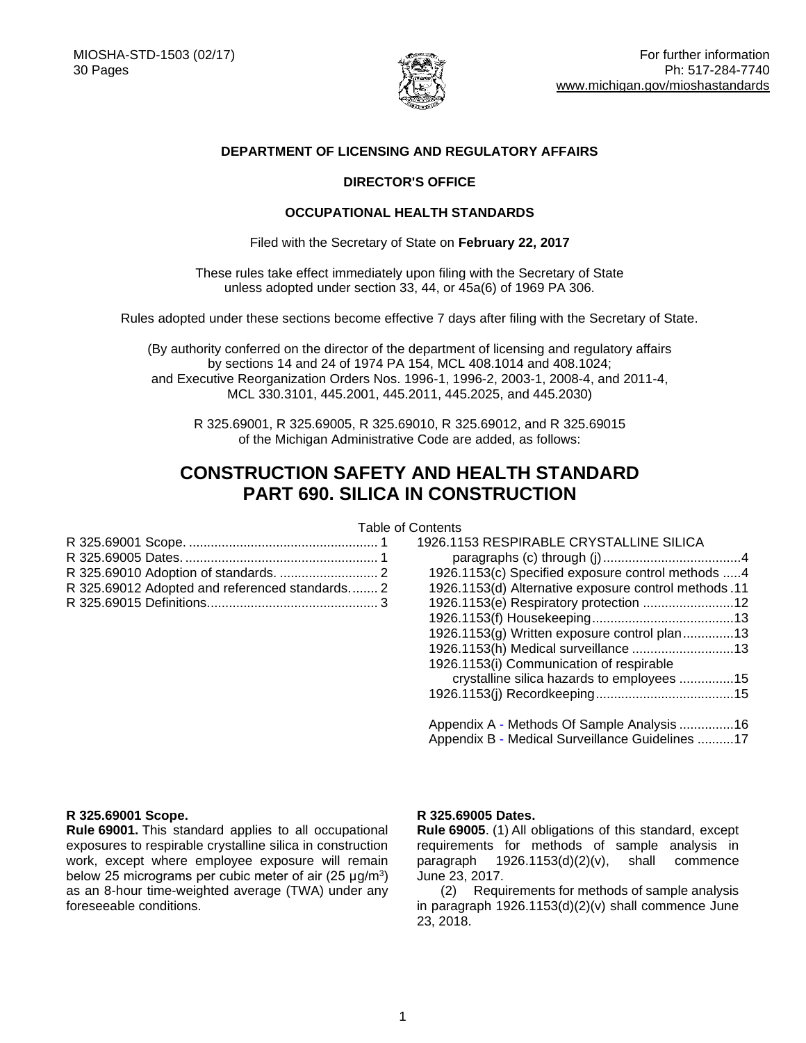

#### **DEPARTMENT OF LICENSING AND REGULATORY AFFAIRS**

#### **DIRECTOR'S OFFICE**

#### **OCCUPATIONAL HEALTH STANDARDS**

Filed with the Secretary of State on **February 22, 2017**

These rules take effect immediately upon filing with the Secretary of State unless adopted under section 33, 44, or 45a(6) of 1969 PA 306.

Rules adopted under these sections become effective 7 days after filing with the Secretary of State.

(By authority conferred on the director of the department of licensing and regulatory affairs by sections 14 and 24 of 1974 PA 154, MCL 408.1014 and 408.1024; and Executive Reorganization Orders Nos. 1996-1, 1996-2, 2003-1, 2008-4, and 2011-4, MCL 330.3101, 445.2001, 445.2011, 445.2025, and 445.2030)

R 325.69001, R 325.69005, R 325.69010, R 325.69012, and R 325.69015 of the Michigan Administrative Code are added, as follows:

## **CONSTRUCTION SAFETY AND HEALTH STANDARD PART 690. SILICA IN CONSTRUCTION**

Table of Contents

| R 325.69012 Adopted and referenced standards 2 |  |
|------------------------------------------------|--|
|                                                |  |

#### [1926.1153 RESPIRABLE CRYSTALLINE SILICA](#page-3-0)

| TOO I \LOI TI \I \DLL OI \ I O I I \LLII \L OILIOI    |
|-------------------------------------------------------|
|                                                       |
| 1926.1153(c) Specified exposure control methods 4     |
| 11. 1926.1153(d) Alternative exposure control methods |
|                                                       |
|                                                       |
| 1926.1153(g) Written exposure control plan13          |
|                                                       |
| 1926.1153(i) Communication of respirable              |
| crystalline silica hazards to employees 15            |
|                                                       |
|                                                       |
|                                                       |

[Appendix A](#page-14-1) - [Methods Of Sample Analysis](#page-15-0) ...............16 [Appendix B](#page-16-0) - [Medical Surveillance Guidelines](#page-16-1) ..........17

#### <span id="page-0-0"></span>**R 325.69001 Scope.**

**Rule 69001.** This standard applies to all occupational exposures to respirable crystalline silica in construction work, except where employee exposure will remain below 25 micrograms per cubic meter of air  $(25 \mu g/m^3)$ as an 8-hour time-weighted average (TWA) under any foreseeable conditions.

#### <span id="page-0-1"></span>**R 325.69005 Dates.**

**Rule 69005**. (1) All obligations of this standard, except requirements for methods of sample analysis in paragraph 1926.1153(d)(2)(v), shall commence June 23, 2017.

(2) Requirements for methods of sample analysis in paragraph 1926.1153(d)(2)(v) shall commence June 23, 2018.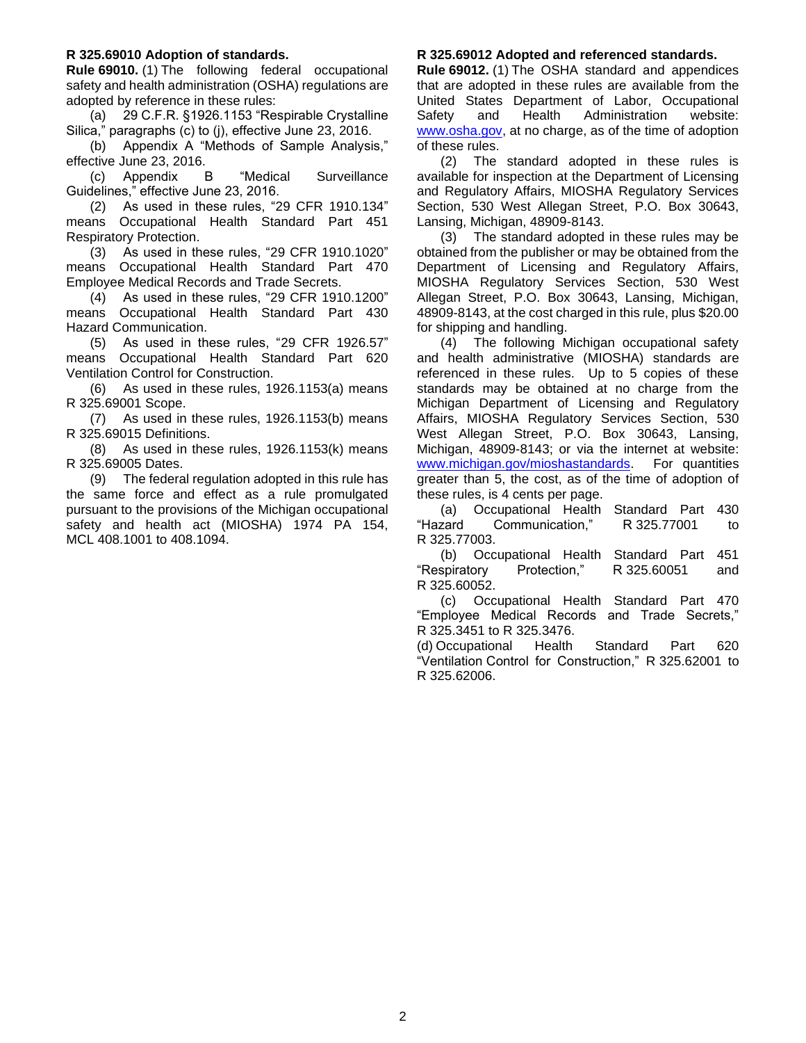#### <span id="page-1-0"></span>**R 325.69010 Adoption of standards.**

**Rule 69010.** (1) The following federal occupational safety and health administration (OSHA) regulations are adopted by reference in these rules:

(a) 29 C.F.R. §1926.1153 "Respirable Crystalline Silica," paragraphs (c) to (j), effective June 23, 2016.

(b) Appendix A "Methods of Sample Analysis," effective June 23, 2016.

(c) Appendix B "Medical Surveillance Guidelines," effective June 23, 2016.

(2) As used in these rules, ["29 CFR 1910.134"](https://www.federalregister.gov/select-citation/2016/03/25/29-CFR-1910.134) means Occupational Health Standard Part 451 Respiratory Protection.

(3) As used in these rules, ["29 CFR 1910.1020"](https://www.federalregister.gov/select-citation/2016/03/25/29-CFR-1910.1020) means Occupational Health Standard Part 470 Employee Medical Records and Trade Secrets.

(4) As used in these rules, ["29 CFR 1910.1200"](https://www.federalregister.gov/select-citation/2016/03/25/29-CFR-1910.1200) means Occupational Health Standard Part 430 Hazard Communication.

(5) As used in these rules, ["29 CFR 1926.57"](https://www.federalregister.gov/select-citation/2016/03/25/29-CFR-1926.57) means Occupational Health Standard Part 620 Ventilation Control for Construction.

(6) As used in these rules, 1926.1153(a) means R 325.69001 Scope.

(7) As used in these rules, 1926.1153(b) means R 325.69015 Definitions.

(8) As used in these rules, 1926.1153(k) means R 325.69005 Dates.

(9) The federal regulation adopted in this rule has the same force and effect as a rule promulgated pursuant to the provisions of the Michigan occupational safety and health act (MIOSHA) 1974 PA 154, MCL 408.1001 to 408.1094.

#### <span id="page-1-1"></span>**R 325.69012 Adopted and referenced standards.**

**Rule 69012.** (1) The OSHA standard and appendices that are adopted in these rules are available from the United States Department of Labor, Occupational Safety and Health Administration website: [www.osha.gov,](http://www.osha.gov/) at no charge, as of the time of adoption of these rules.

(2) The standard adopted in these rules is available for inspection at the Department of Licensing and Regulatory Affairs, MIOSHA Regulatory Services Section, 530 West Allegan Street, P.O. Box 30643, Lansing, Michigan, 48909-8143.

(3) The standard adopted in these rules may be obtained from the publisher or may be obtained from the Department of Licensing and Regulatory Affairs, MIOSHA Regulatory Services Section, 530 West Allegan Street, P.O. Box 30643, Lansing, Michigan, 48909-8143, at the cost charged in this rule, plus \$20.00 for shipping and handling.

(4) The following Michigan occupational safety and health administrative (MIOSHA) standards are referenced in these rules. Up to 5 copies of these standards may be obtained at no charge from the Michigan Department of Licensing and Regulatory Affairs, MIOSHA Regulatory Services Section, 530 West Allegan Street, P.O. Box 30643, Lansing, Michigan, 48909-8143; or via the internet at website: [www.michigan.gov/mioshastandards.](http://www.michigan.gov/mioshastandards) For quantities greater than 5, the cost, as of the time of adoption of these rules, is 4 cents per page.

(a) Occupational Health Standard Part 430 "Hazard Communication," R 325.77001 to R 325.77003.

(b) Occupational Health Standard Part 451 "Respiratory Protection," R 325.60051 and R 325.60052.

(c) Occupational Health Standard Part 470 "Employee Medical Records and Trade Secrets," R 325.3451 to R 325.3476.

(d) Occupational Health Standard Part 620 "Ventilation Control for Construction," R 325.62001 to R 325.62006.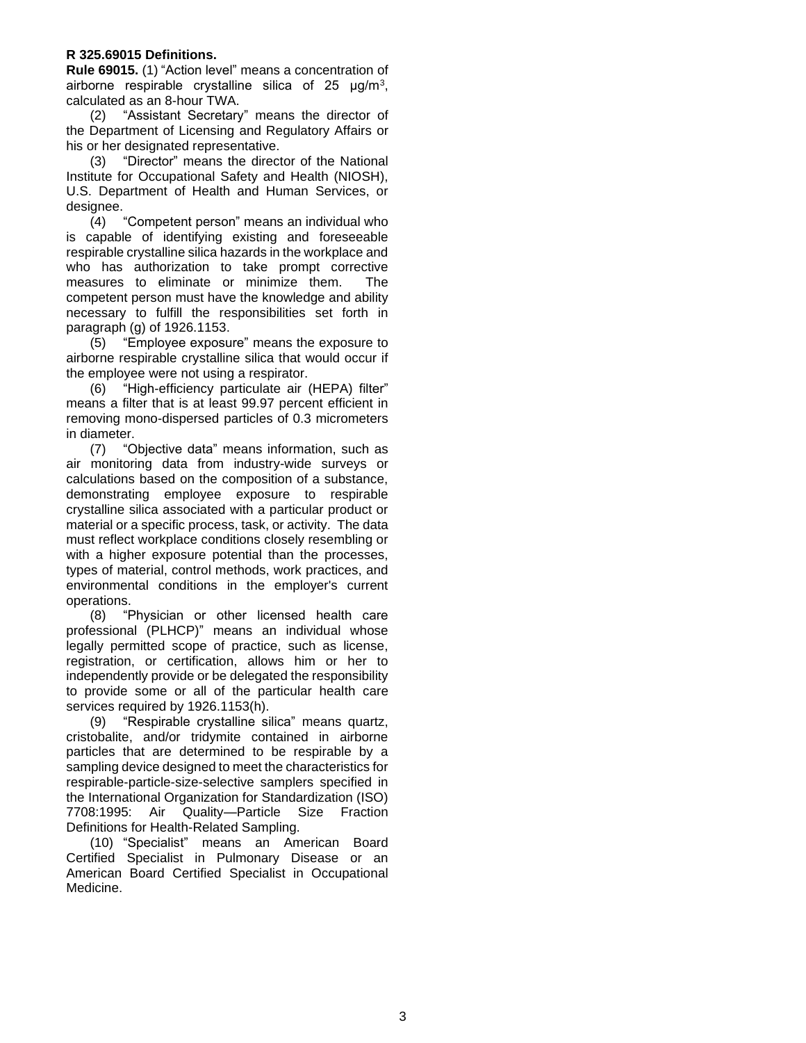#### <span id="page-2-0"></span>**R 325.69015 Definitions.**

**Rule 69015.** (1) "Action level" means a concentration of airborne respirable crystalline silica of 25  $\mu$ g/m<sup>3</sup>, calculated as an 8-hour TWA.

(2) "Assistant Secretary" means the director of the Department of Licensing and Regulatory Affairs or his or her designated representative.

(3) "Director" means the director of the National Institute for Occupational Safety and Health (NIOSH), U.S. Department of Health and Human Services, or designee.

(4) "Competent person" means an individual who is capable of identifying existing and foreseeable respirable crystalline silica hazards in the workplace and who has authorization to take prompt corrective measures to eliminate or minimize them. The competent person must have the knowledge and ability necessary to fulfill the responsibilities set forth in paragraph (g) of 1926.1153.

(5) "Employee exposure" means the exposure to airborne respirable crystalline silica that would occur if the employee were not using a respirator.

(6) "High-efficiency particulate air (HEPA) filter" means a filter that is at least 99.97 percent efficient in removing mono-dispersed particles of 0.3 micrometers in diameter.

(7) "Objective data" means information, such as air monitoring data from industry-wide surveys or calculations based on the composition of a substance, demonstrating employee exposure to respirable crystalline silica associated with a particular product or material or a specific process, task, or activity. The data must reflect workplace conditions closely resembling or with a higher exposure potential than the processes, types of material, control methods, work practices, and environmental conditions in the employer's current operations.

(8) "Physician or other licensed health care professional (PLHCP)" means an individual whose legally permitted scope of practice, such as license, registration, or certification, allows him or her to independently provide or be delegated the responsibility to provide some or all of the particular health care services required by 1926.1153(h).

(9) "Respirable crystalline silica" means quartz, cristobalite, and/or tridymite contained in airborne particles that are determined to be respirable by a sampling device designed to meet the characteristics for respirable-particle-size-selective samplers specified in the International Organization for Standardization (ISO) 7708:1995: Air Quality—Particle Size Fraction Definitions for Health-Related Sampling.

(10) "Specialist" means an American Board Certified Specialist in Pulmonary Disease or an American Board Certified Specialist in Occupational Medicine.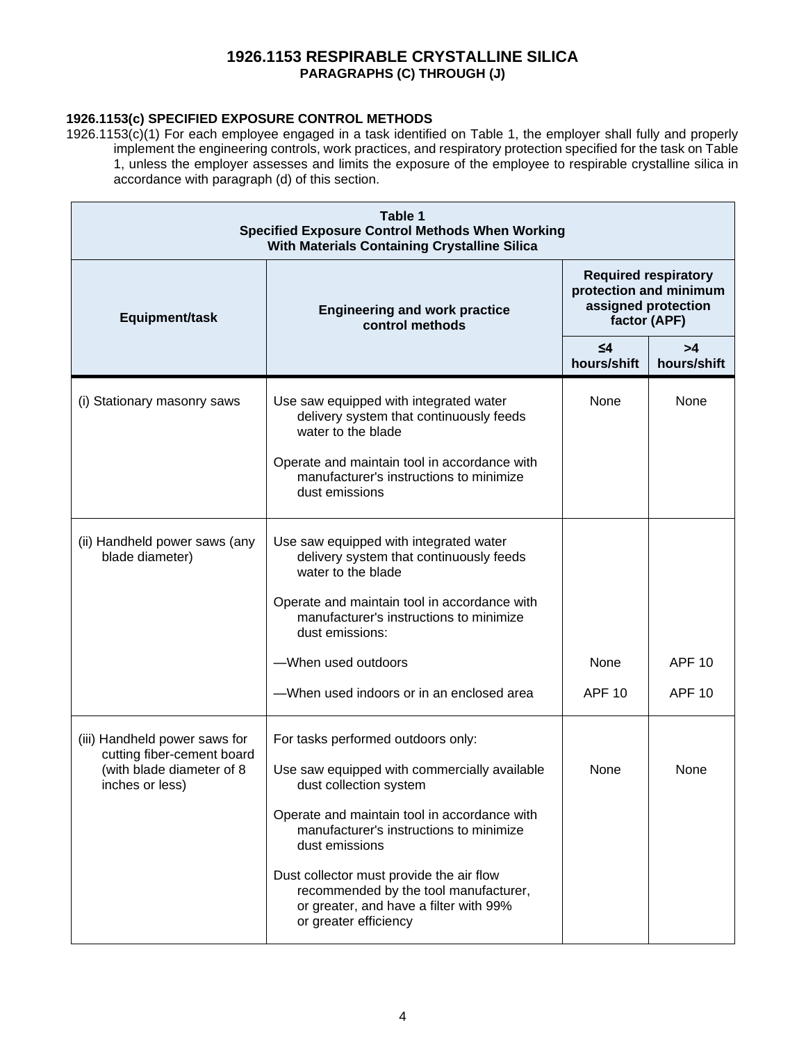### **1926.1153 RESPIRABLE CRYSTALLINE SILICA PARAGRAPHS (C) THROUGH (J)**

#### <span id="page-3-1"></span><span id="page-3-0"></span>**1926.1153(c) SPECIFIED EXPOSURE CONTROL METHODS**

1926.1153(c)(1) For each employee engaged in a task identified on Table 1, the employer shall fully and properly implement the engineering controls, work practices, and respiratory protection specified for the task on Table 1, unless the employer assesses and limits the exposure of the employee to respirable crystalline silica in accordance with paragraph (d) of this section.

| Table 1<br><b>Specified Exposure Control Methods When Working</b><br><b>With Materials Containing Crystalline Silica</b> |                                                                                                                                                      |                                                                                              |                   |  |  |  |  |  |  |
|--------------------------------------------------------------------------------------------------------------------------|------------------------------------------------------------------------------------------------------------------------------------------------------|----------------------------------------------------------------------------------------------|-------------------|--|--|--|--|--|--|
| Equipment/task                                                                                                           | <b>Engineering and work practice</b><br>control methods                                                                                              | <b>Required respiratory</b><br>protection and minimum<br>assigned protection<br>factor (APF) |                   |  |  |  |  |  |  |
|                                                                                                                          |                                                                                                                                                      | $\leq 4$<br>hours/shift                                                                      | >4<br>hours/shift |  |  |  |  |  |  |
| (i) Stationary masonry saws                                                                                              | Use saw equipped with integrated water<br>delivery system that continuously feeds<br>water to the blade                                              | None                                                                                         | None              |  |  |  |  |  |  |
|                                                                                                                          | Operate and maintain tool in accordance with<br>manufacturer's instructions to minimize<br>dust emissions                                            |                                                                                              |                   |  |  |  |  |  |  |
| (ii) Handheld power saws (any<br>blade diameter)                                                                         | Use saw equipped with integrated water<br>delivery system that continuously feeds<br>water to the blade                                              |                                                                                              |                   |  |  |  |  |  |  |
|                                                                                                                          | Operate and maintain tool in accordance with<br>manufacturer's instructions to minimize<br>dust emissions:                                           |                                                                                              |                   |  |  |  |  |  |  |
|                                                                                                                          | -When used outdoors                                                                                                                                  | None                                                                                         | <b>APF 10</b>     |  |  |  |  |  |  |
|                                                                                                                          | -When used indoors or in an enclosed area                                                                                                            | <b>APF 10</b>                                                                                | <b>APF 10</b>     |  |  |  |  |  |  |
| (iii) Handheld power saws for<br>cutting fiber-cement board                                                              | For tasks performed outdoors only:                                                                                                                   |                                                                                              |                   |  |  |  |  |  |  |
| (with blade diameter of 8<br>inches or less)                                                                             | Use saw equipped with commercially available<br>dust collection system                                                                               | None                                                                                         | None              |  |  |  |  |  |  |
|                                                                                                                          | Operate and maintain tool in accordance with<br>manufacturer's instructions to minimize<br>dust emissions                                            |                                                                                              |                   |  |  |  |  |  |  |
|                                                                                                                          | Dust collector must provide the air flow<br>recommended by the tool manufacturer,<br>or greater, and have a filter with 99%<br>or greater efficiency |                                                                                              |                   |  |  |  |  |  |  |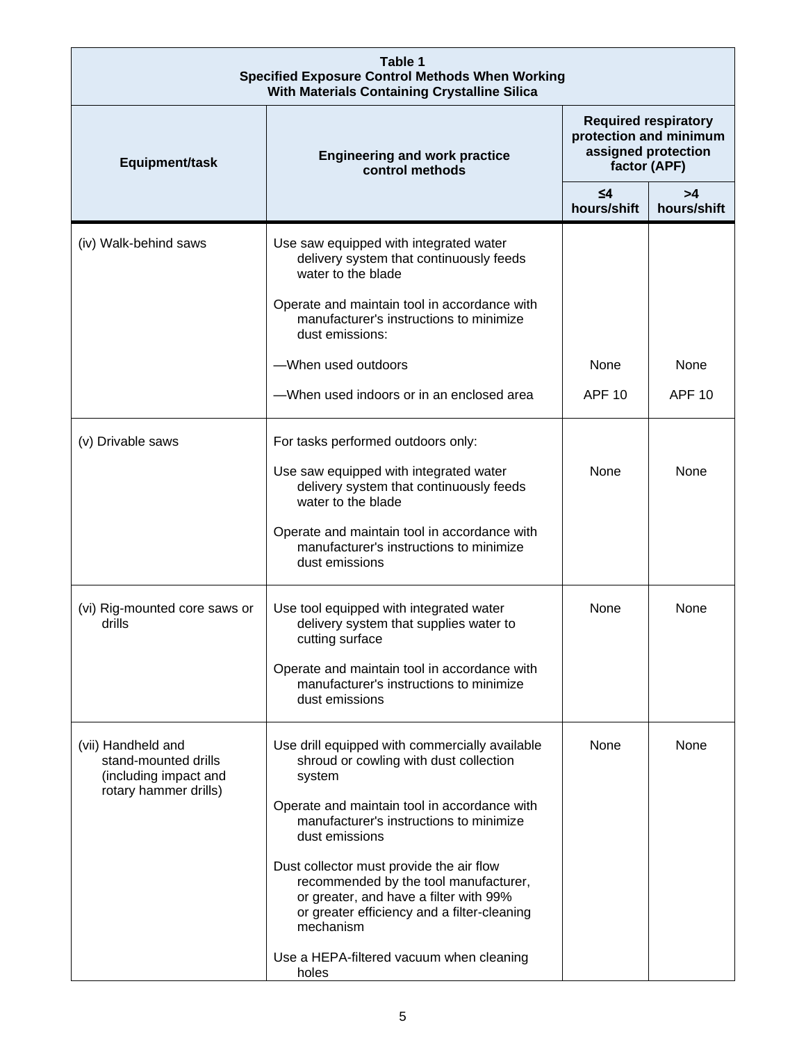| Table 1<br><b>Specified Exposure Control Methods When Working</b><br>With Materials Containing Crystalline Silica |                                                                                                                                                                                         |                                                                                              |               |  |  |  |  |  |
|-------------------------------------------------------------------------------------------------------------------|-----------------------------------------------------------------------------------------------------------------------------------------------------------------------------------------|----------------------------------------------------------------------------------------------|---------------|--|--|--|--|--|
| Equipment/task                                                                                                    | <b>Engineering and work practice</b><br>control methods                                                                                                                                 | <b>Required respiratory</b><br>protection and minimum<br>assigned protection<br>factor (APF) |               |  |  |  |  |  |
|                                                                                                                   | hours/shift                                                                                                                                                                             |                                                                                              |               |  |  |  |  |  |
| (iv) Walk-behind saws                                                                                             | Use saw equipped with integrated water<br>delivery system that continuously feeds<br>water to the blade                                                                                 |                                                                                              |               |  |  |  |  |  |
|                                                                                                                   | Operate and maintain tool in accordance with<br>manufacturer's instructions to minimize<br>dust emissions:                                                                              |                                                                                              |               |  |  |  |  |  |
|                                                                                                                   | -When used outdoors                                                                                                                                                                     | None                                                                                         | None          |  |  |  |  |  |
|                                                                                                                   | -When used indoors or in an enclosed area                                                                                                                                               | <b>APF 10</b>                                                                                | <b>APF 10</b> |  |  |  |  |  |
| (v) Drivable saws                                                                                                 | For tasks performed outdoors only:                                                                                                                                                      |                                                                                              |               |  |  |  |  |  |
|                                                                                                                   | Use saw equipped with integrated water<br>delivery system that continuously feeds<br>water to the blade                                                                                 | None                                                                                         | None          |  |  |  |  |  |
|                                                                                                                   | Operate and maintain tool in accordance with<br>manufacturer's instructions to minimize<br>dust emissions                                                                               |                                                                                              |               |  |  |  |  |  |
| (vi) Rig-mounted core saws or<br>drills                                                                           | Use tool equipped with integrated water<br>delivery system that supplies water to<br>cutting surface                                                                                    | None                                                                                         | None          |  |  |  |  |  |
|                                                                                                                   | Operate and maintain tool in accordance with<br>manufacturer's instructions to minimize<br>dust emissions                                                                               |                                                                                              |               |  |  |  |  |  |
| (vii) Handheld and<br>stand-mounted drills<br>(including impact and                                               | Use drill equipped with commercially available<br>shroud or cowling with dust collection<br>system                                                                                      | None                                                                                         | None          |  |  |  |  |  |
| rotary hammer drills)                                                                                             | Operate and maintain tool in accordance with<br>manufacturer's instructions to minimize<br>dust emissions                                                                               |                                                                                              |               |  |  |  |  |  |
|                                                                                                                   | Dust collector must provide the air flow<br>recommended by the tool manufacturer,<br>or greater, and have a filter with 99%<br>or greater efficiency and a filter-cleaning<br>mechanism |                                                                                              |               |  |  |  |  |  |
|                                                                                                                   | Use a HEPA-filtered vacuum when cleaning<br>holes                                                                                                                                       |                                                                                              |               |  |  |  |  |  |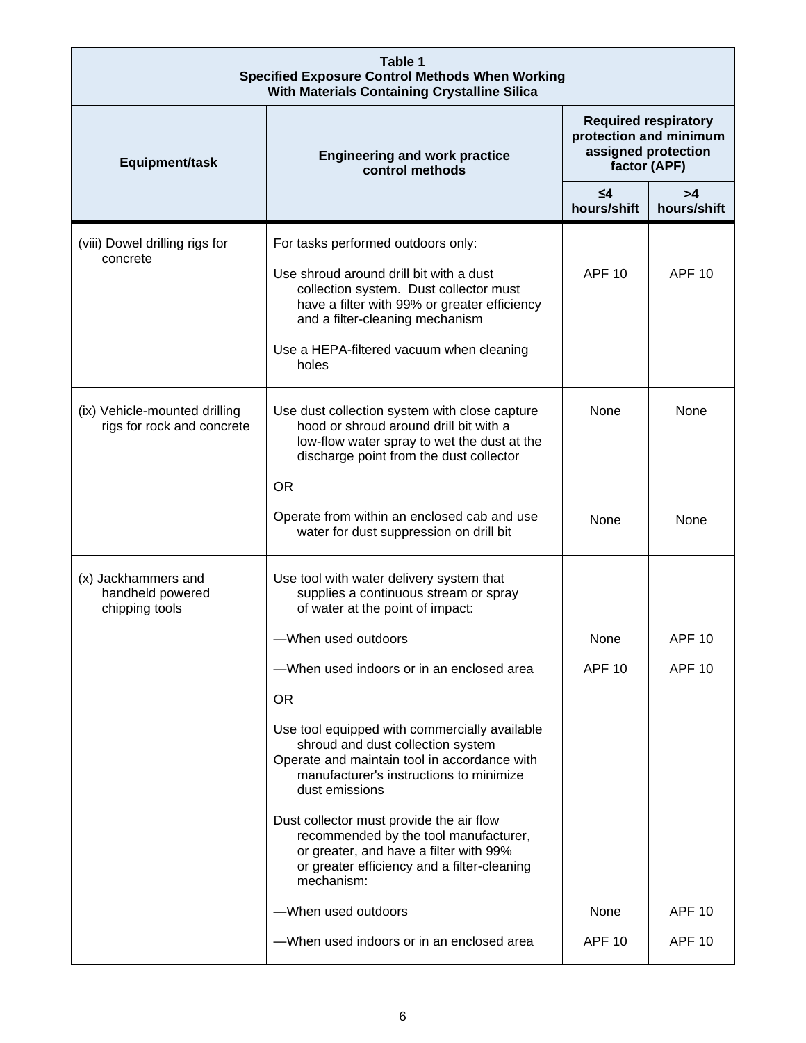| Table 1<br><b>Specified Exposure Control Methods When Working</b><br>With Materials Containing Crystalline Silica |                                                                                                                                                                                                 |                                                                                              |               |  |  |  |  |  |
|-------------------------------------------------------------------------------------------------------------------|-------------------------------------------------------------------------------------------------------------------------------------------------------------------------------------------------|----------------------------------------------------------------------------------------------|---------------|--|--|--|--|--|
| Equipment/task                                                                                                    | <b>Engineering and work practice</b><br>control methods                                                                                                                                         | <b>Required respiratory</b><br>protection and minimum<br>assigned protection<br>factor (APF) |               |  |  |  |  |  |
|                                                                                                                   | hours/shift<br>For tasks performed outdoors only:                                                                                                                                               |                                                                                              |               |  |  |  |  |  |
| (viii) Dowel drilling rigs for<br>concrete                                                                        |                                                                                                                                                                                                 |                                                                                              |               |  |  |  |  |  |
|                                                                                                                   | Use shroud around drill bit with a dust<br>collection system. Dust collector must<br>have a filter with 99% or greater efficiency<br>and a filter-cleaning mechanism                            | <b>APF 10</b>                                                                                | <b>APF 10</b> |  |  |  |  |  |
|                                                                                                                   | Use a HEPA-filtered vacuum when cleaning<br>holes                                                                                                                                               |                                                                                              |               |  |  |  |  |  |
| (ix) Vehicle-mounted drilling<br>rigs for rock and concrete                                                       | Use dust collection system with close capture<br>hood or shroud around drill bit with a<br>low-flow water spray to wet the dust at the<br>discharge point from the dust collector               | None                                                                                         | None          |  |  |  |  |  |
|                                                                                                                   | <b>OR</b>                                                                                                                                                                                       |                                                                                              |               |  |  |  |  |  |
|                                                                                                                   | Operate from within an enclosed cab and use<br>water for dust suppression on drill bit                                                                                                          | None                                                                                         | None          |  |  |  |  |  |
| (x) Jackhammers and<br>handheld powered<br>chipping tools                                                         | Use tool with water delivery system that<br>supplies a continuous stream or spray<br>of water at the point of impact:                                                                           |                                                                                              |               |  |  |  |  |  |
|                                                                                                                   | —When used outdoors                                                                                                                                                                             | None                                                                                         | <b>APF 10</b> |  |  |  |  |  |
|                                                                                                                   | <b>APF 10</b>                                                                                                                                                                                   | <b>APF 10</b>                                                                                |               |  |  |  |  |  |
|                                                                                                                   |                                                                                                                                                                                                 |                                                                                              |               |  |  |  |  |  |
|                                                                                                                   | Use tool equipped with commercially available<br>shroud and dust collection system<br>Operate and maintain tool in accordance with<br>manufacturer's instructions to minimize<br>dust emissions |                                                                                              |               |  |  |  |  |  |
|                                                                                                                   | Dust collector must provide the air flow<br>recommended by the tool manufacturer,<br>or greater, and have a filter with 99%<br>or greater efficiency and a filter-cleaning<br>mechanism:        |                                                                                              |               |  |  |  |  |  |
|                                                                                                                   | -When used outdoors                                                                                                                                                                             | None                                                                                         | <b>APF 10</b> |  |  |  |  |  |
|                                                                                                                   | -When used indoors or in an enclosed area                                                                                                                                                       | <b>APF 10</b>                                                                                | <b>APF 10</b> |  |  |  |  |  |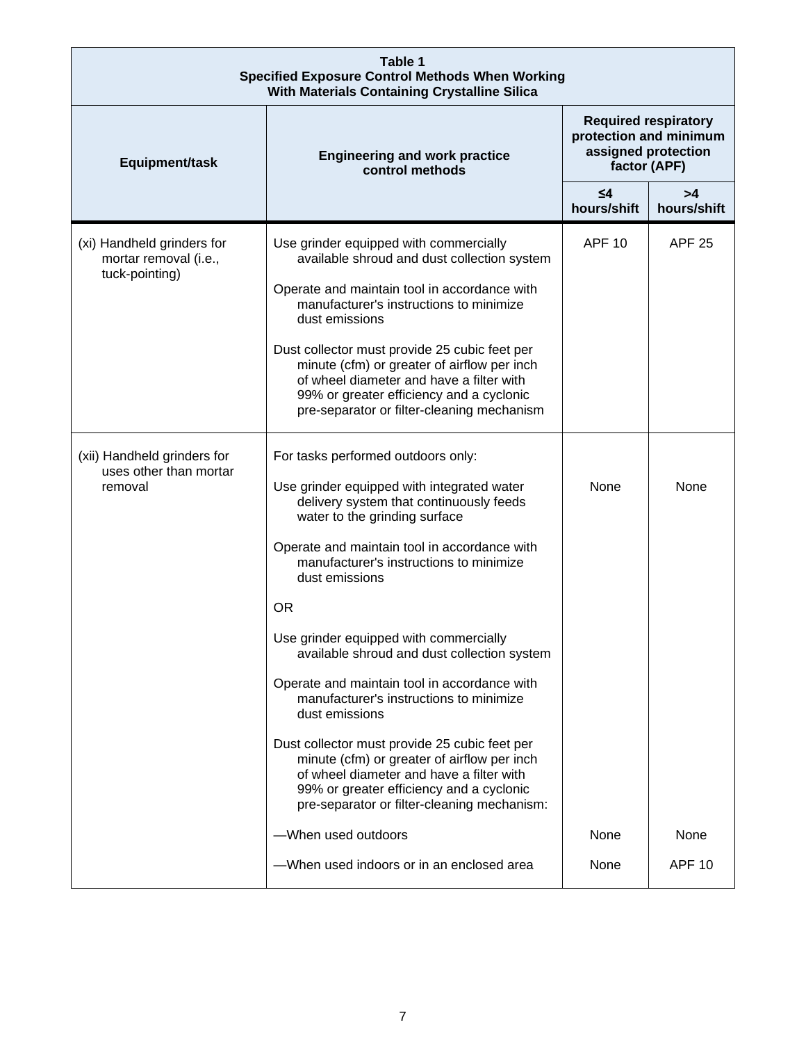| Table 1<br><b>Specified Exposure Control Methods When Working</b><br>With Materials Containing Crystalline Silica |                                                                                                                                                                                                                                                                                                                                                                                                                                                                                                                                                                                                                                                                                                                                     |                                                                                              |                   |  |  |  |  |  |
|-------------------------------------------------------------------------------------------------------------------|-------------------------------------------------------------------------------------------------------------------------------------------------------------------------------------------------------------------------------------------------------------------------------------------------------------------------------------------------------------------------------------------------------------------------------------------------------------------------------------------------------------------------------------------------------------------------------------------------------------------------------------------------------------------------------------------------------------------------------------|----------------------------------------------------------------------------------------------|-------------------|--|--|--|--|--|
| Equipment/task                                                                                                    | <b>Engineering and work practice</b><br>control methods                                                                                                                                                                                                                                                                                                                                                                                                                                                                                                                                                                                                                                                                             | <b>Required respiratory</b><br>protection and minimum<br>assigned protection<br>factor (APF) |                   |  |  |  |  |  |
|                                                                                                                   |                                                                                                                                                                                                                                                                                                                                                                                                                                                                                                                                                                                                                                                                                                                                     | $\leq 4$<br>hours/shift                                                                      | >4<br>hours/shift |  |  |  |  |  |
| (xi) Handheld grinders for<br>mortar removal (i.e.,<br>tuck-pointing)                                             | Use grinder equipped with commercially<br>available shroud and dust collection system<br>Operate and maintain tool in accordance with<br>manufacturer's instructions to minimize                                                                                                                                                                                                                                                                                                                                                                                                                                                                                                                                                    | <b>APF 10</b>                                                                                | <b>APF 25</b>     |  |  |  |  |  |
|                                                                                                                   | dust emissions<br>Dust collector must provide 25 cubic feet per<br>minute (cfm) or greater of airflow per inch<br>of wheel diameter and have a filter with<br>99% or greater efficiency and a cyclonic<br>pre-separator or filter-cleaning mechanism                                                                                                                                                                                                                                                                                                                                                                                                                                                                                |                                                                                              |                   |  |  |  |  |  |
| (xii) Handheld grinders for<br>uses other than mortar<br>removal                                                  | For tasks performed outdoors only:<br>Use grinder equipped with integrated water<br>delivery system that continuously feeds<br>water to the grinding surface<br>Operate and maintain tool in accordance with<br>manufacturer's instructions to minimize<br>dust emissions<br><b>OR</b><br>Use grinder equipped with commercially<br>available shroud and dust collection system<br>Operate and maintain tool in accordance with<br>manufacturer's instructions to minimize<br>dust emissions<br>Dust collector must provide 25 cubic feet per<br>minute (cfm) or greater of airflow per inch<br>of wheel diameter and have a filter with<br>99% or greater efficiency and a cyclonic<br>pre-separator or filter-cleaning mechanism: | None                                                                                         | None              |  |  |  |  |  |
|                                                                                                                   | -When used outdoors                                                                                                                                                                                                                                                                                                                                                                                                                                                                                                                                                                                                                                                                                                                 | None                                                                                         | None              |  |  |  |  |  |
|                                                                                                                   | -When used indoors or in an enclosed area                                                                                                                                                                                                                                                                                                                                                                                                                                                                                                                                                                                                                                                                                           | None                                                                                         | <b>APF 10</b>     |  |  |  |  |  |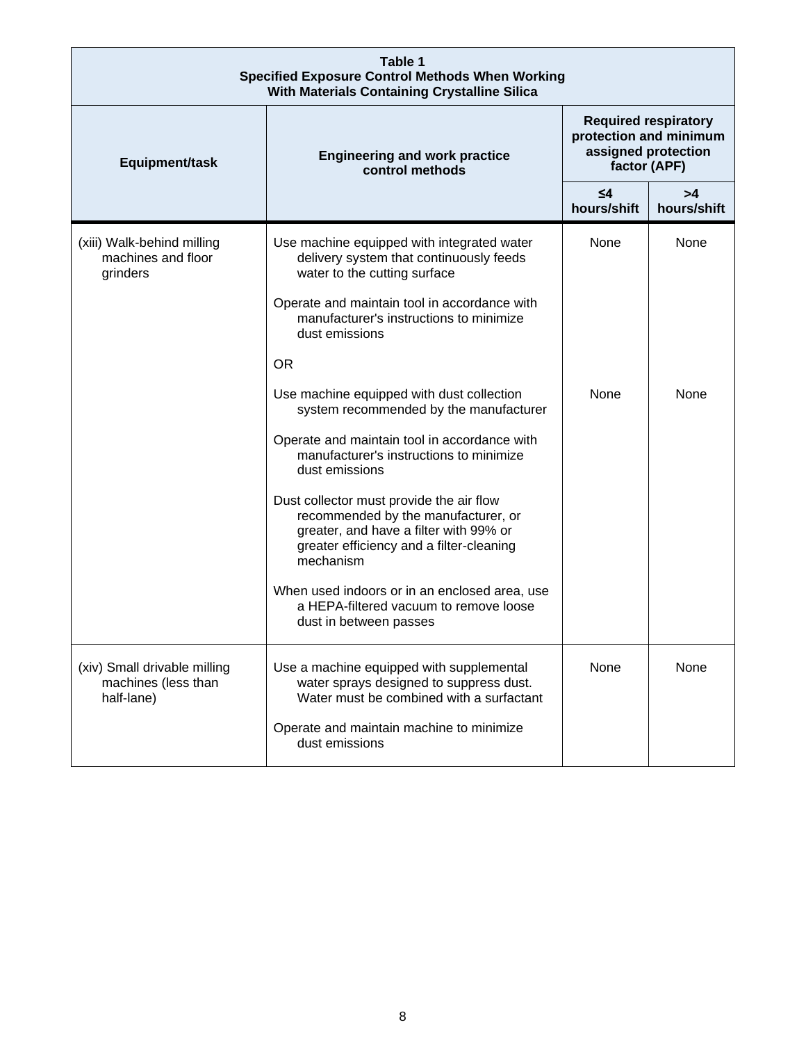| Table 1<br><b>Specified Exposure Control Methods When Working</b><br><b>With Materials Containing Crystalline Silica</b> |                                                                                                                                                                                    |                         |                                                                              |  |  |  |  |
|--------------------------------------------------------------------------------------------------------------------------|------------------------------------------------------------------------------------------------------------------------------------------------------------------------------------|-------------------------|------------------------------------------------------------------------------|--|--|--|--|
| Equipment/task                                                                                                           | <b>Engineering and work practice</b><br>control methods                                                                                                                            | factor (APF)            | <b>Required respiratory</b><br>protection and minimum<br>assigned protection |  |  |  |  |
|                                                                                                                          |                                                                                                                                                                                    | $\leq 4$<br>hours/shift | >4<br>hours/shift                                                            |  |  |  |  |
| (xiii) Walk-behind milling<br>machines and floor<br>grinders                                                             | Use machine equipped with integrated water<br>delivery system that continuously feeds<br>water to the cutting surface                                                              | None                    | None                                                                         |  |  |  |  |
|                                                                                                                          | Operate and maintain tool in accordance with<br>manufacturer's instructions to minimize<br>dust emissions                                                                          |                         |                                                                              |  |  |  |  |
|                                                                                                                          |                                                                                                                                                                                    |                         |                                                                              |  |  |  |  |
|                                                                                                                          | Use machine equipped with dust collection<br>system recommended by the manufacturer                                                                                                | None                    | None                                                                         |  |  |  |  |
|                                                                                                                          | Operate and maintain tool in accordance with<br>manufacturer's instructions to minimize<br>dust emissions                                                                          |                         |                                                                              |  |  |  |  |
|                                                                                                                          | Dust collector must provide the air flow<br>recommended by the manufacturer, or<br>greater, and have a filter with 99% or<br>greater efficiency and a filter-cleaning<br>mechanism |                         |                                                                              |  |  |  |  |
|                                                                                                                          | When used indoors or in an enclosed area, use<br>a HEPA-filtered vacuum to remove loose<br>dust in between passes                                                                  |                         |                                                                              |  |  |  |  |
| (xiv) Small drivable milling<br>machines (less than<br>half-lane)                                                        | Use a machine equipped with supplemental<br>water sprays designed to suppress dust.<br>Water must be combined with a surfactant                                                    | None                    | None                                                                         |  |  |  |  |
|                                                                                                                          | Operate and maintain machine to minimize<br>dust emissions                                                                                                                         |                         |                                                                              |  |  |  |  |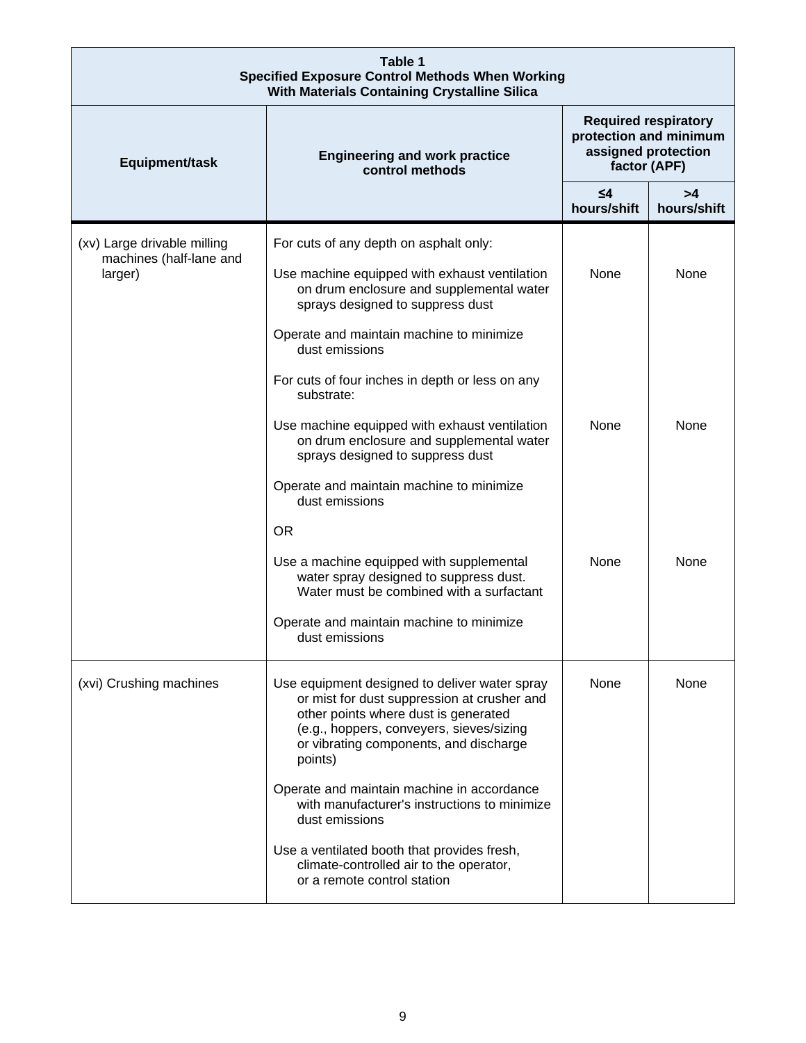| Table 1<br><b>Specified Exposure Control Methods When Working</b><br><b>With Materials Containing Crystalline Silica</b> |                                                                                                                                                                                                                                                                                                                                                                                                                                                                                |                         |                   |  |  |  |  |  |  |
|--------------------------------------------------------------------------------------------------------------------------|--------------------------------------------------------------------------------------------------------------------------------------------------------------------------------------------------------------------------------------------------------------------------------------------------------------------------------------------------------------------------------------------------------------------------------------------------------------------------------|-------------------------|-------------------|--|--|--|--|--|--|
| Equipment/task                                                                                                           | <b>Engineering and work practice</b><br>control methods                                                                                                                                                                                                                                                                                                                                                                                                                        |                         |                   |  |  |  |  |  |  |
|                                                                                                                          |                                                                                                                                                                                                                                                                                                                                                                                                                                                                                | $\leq 4$<br>hours/shift | >4<br>hours/shift |  |  |  |  |  |  |
| (xv) Large drivable milling<br>machines (half-lane and<br>larger)                                                        | For cuts of any depth on asphalt only:<br>Use machine equipped with exhaust ventilation<br>on drum enclosure and supplemental water<br>sprays designed to suppress dust                                                                                                                                                                                                                                                                                                        | None                    | None              |  |  |  |  |  |  |
|                                                                                                                          | Operate and maintain machine to minimize<br>dust emissions<br>For cuts of four inches in depth or less on any<br>substrate:                                                                                                                                                                                                                                                                                                                                                    |                         |                   |  |  |  |  |  |  |
|                                                                                                                          | Use machine equipped with exhaust ventilation<br>on drum enclosure and supplemental water<br>sprays designed to suppress dust                                                                                                                                                                                                                                                                                                                                                  | None                    | None              |  |  |  |  |  |  |
|                                                                                                                          | Operate and maintain machine to minimize<br>dust emissions                                                                                                                                                                                                                                                                                                                                                                                                                     |                         |                   |  |  |  |  |  |  |
|                                                                                                                          | <b>OR</b><br>Use a machine equipped with supplemental<br>water spray designed to suppress dust.<br>Water must be combined with a surfactant<br>Operate and maintain machine to minimize<br>dust emissions                                                                                                                                                                                                                                                                      | None                    | None              |  |  |  |  |  |  |
| (xvi) Crushing machines                                                                                                  | Use equipment designed to deliver water spray<br>or mist for dust suppression at crusher and<br>other points where dust is generated<br>(e.g., hoppers, conveyers, sieves/sizing<br>or vibrating components, and discharge<br>points)<br>Operate and maintain machine in accordance<br>with manufacturer's instructions to minimize<br>dust emissions<br>Use a ventilated booth that provides fresh,<br>climate-controlled air to the operator,<br>or a remote control station | None                    | None              |  |  |  |  |  |  |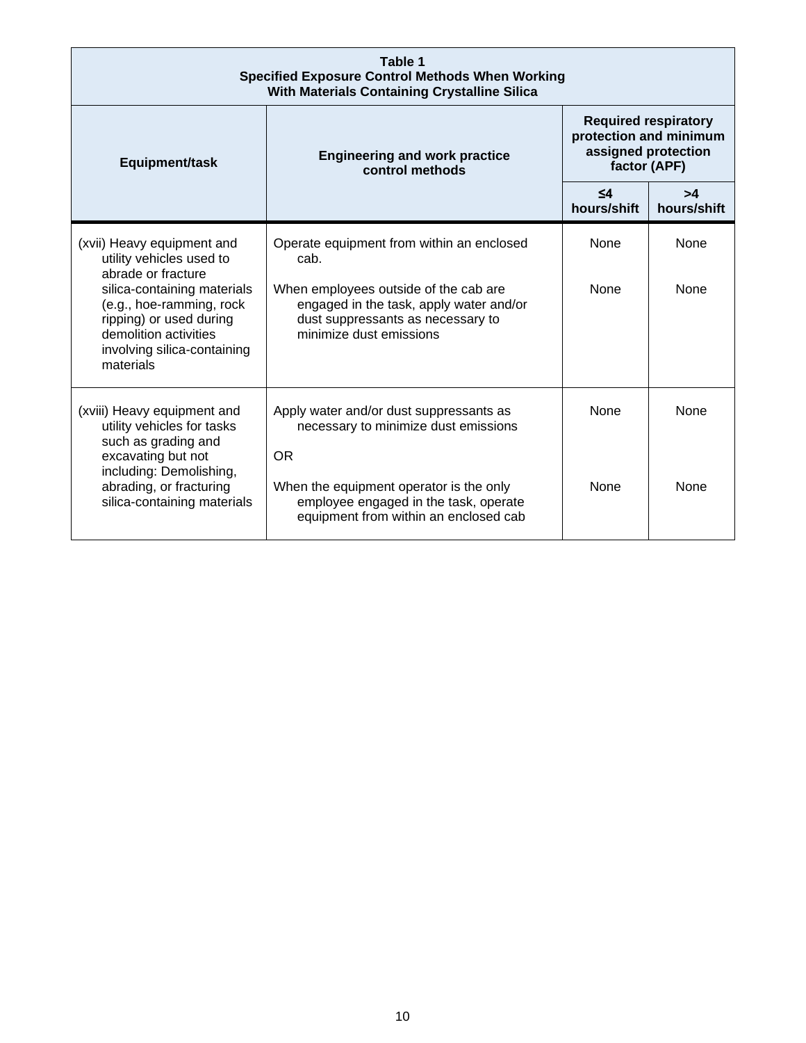| Table 1<br><b>Specified Exposure Control Methods When Working</b><br>With Materials Containing Crystalline Silica                       |                                                                                                                                       |                                                                                              |                   |  |  |  |  |  |
|-----------------------------------------------------------------------------------------------------------------------------------------|---------------------------------------------------------------------------------------------------------------------------------------|----------------------------------------------------------------------------------------------|-------------------|--|--|--|--|--|
| Equipment/task                                                                                                                          | <b>Engineering and work practice</b><br>control methods                                                                               | <b>Required respiratory</b><br>protection and minimum<br>assigned protection<br>factor (APF) |                   |  |  |  |  |  |
|                                                                                                                                         |                                                                                                                                       | $\leq 4$<br>hours/shift                                                                      | >4<br>hours/shift |  |  |  |  |  |
| (xvii) Heavy equipment and<br>utility vehicles used to<br>abrade or fracture<br>silica-containing materials<br>(e.g., hoe-ramming, rock | Operate equipment from within an enclosed<br>cab.<br>When employees outside of the cab are<br>engaged in the task, apply water and/or | <b>None</b><br>None                                                                          | None<br>None      |  |  |  |  |  |
| ripping) or used during<br>demolition activities<br>involving silica-containing<br>materials                                            | dust suppressants as necessary to<br>minimize dust emissions                                                                          |                                                                                              |                   |  |  |  |  |  |
| (xviii) Heavy equipment and<br>utility vehicles for tasks<br>such as grading and<br>excavating but not                                  | Apply water and/or dust suppressants as<br>necessary to minimize dust emissions<br><b>OR</b>                                          | None                                                                                         | None              |  |  |  |  |  |
| including: Demolishing,<br>abrading, or fracturing<br>silica-containing materials                                                       | When the equipment operator is the only<br>employee engaged in the task, operate<br>equipment from within an enclosed cab             | <b>None</b>                                                                                  | None              |  |  |  |  |  |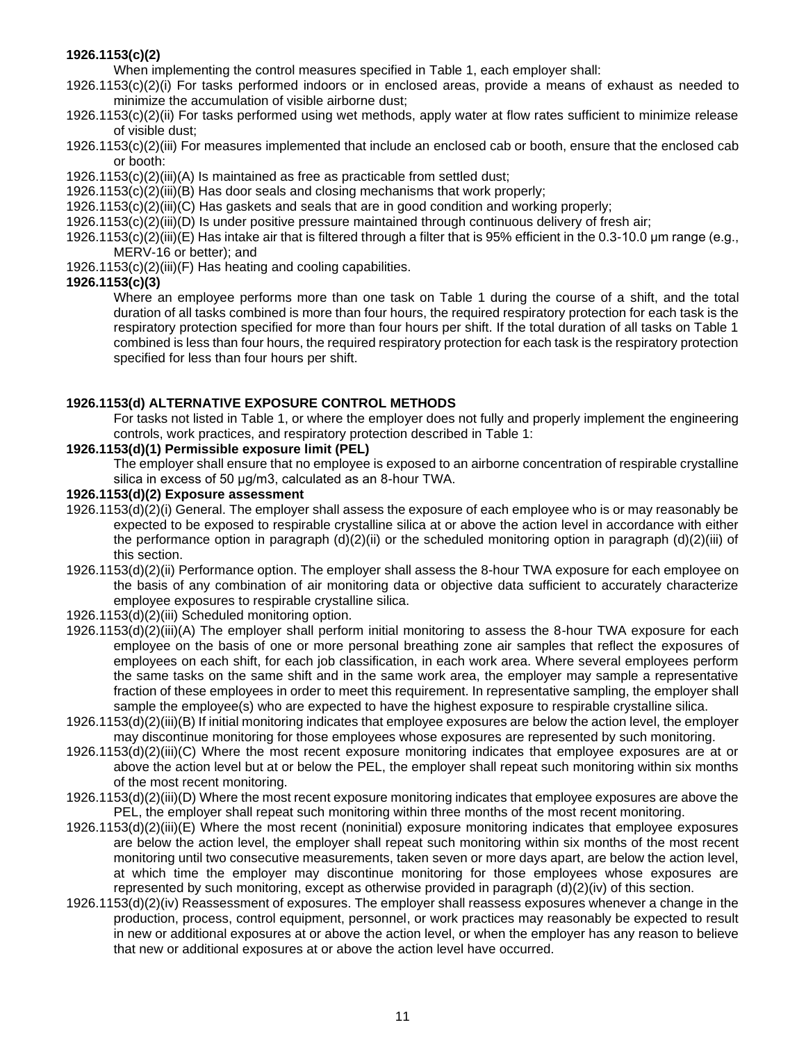#### **1926.1153(c)(2)**

When implementing the control measures specified in Table 1, each employer shall:

- 1926.1153(c)(2)(i) For tasks performed indoors or in enclosed areas, provide a means of exhaust as needed to minimize the accumulation of visible airborne dust;
- 1926.1153(c)(2)(ii) For tasks performed using wet methods, apply water at flow rates sufficient to minimize release of visible dust;
- 1926.1153(c)(2)(iii) For measures implemented that include an enclosed cab or booth, ensure that the enclosed cab or booth:
- 1926.1153(c)(2)(iii)(A) Is maintained as free as practicable from settled dust;
- 1926.1153(c)(2)(iii)(B) Has door seals and closing mechanisms that work properly;
- 1926.1153(c)(2)(iii)(C) Has gaskets and seals that are in good condition and working properly;
- 1926.1153(c)(2)(iii)(D) Is under positive pressure maintained through continuous delivery of fresh air;
- 1926.1153(c)(2)(iii)(E) Has intake air that is filtered through a filter that is 95% efficient in the 0.3-10.0 μm range (e.g., MERV-16 or better); and
- 1926.1153(c)(2)(iii)(F) Has heating and cooling capabilities.

#### **1926.1153(c)(3)**

Where an employee performs more than one task on Table 1 during the course of a shift, and the total duration of all tasks combined is more than four hours, the required respiratory protection for each task is the respiratory protection specified for more than four hours per shift. If the total duration of all tasks on Table 1 combined is less than four hours, the required respiratory protection for each task is the respiratory protection specified for less than four hours per shift.

#### <span id="page-10-0"></span>**1926.1153(d) ALTERNATIVE EXPOSURE CONTROL METHODS**

For tasks not listed in Table 1, or where the employer does not fully and properly implement the engineering controls, work practices, and respiratory protection described in Table 1:

#### **1926.1153(d)(1) Permissible exposure limit (PEL)**

The employer shall ensure that no employee is exposed to an airborne concentration of respirable crystalline silica in excess of 50 μg/m3, calculated as an 8-hour TWA.

#### **1926.1153(d)(2) Exposure assessment**

- 1926.1153(d)(2)(i) General. The employer shall assess the exposure of each employee who is or may reasonably be expected to be exposed to respirable crystalline silica at or above the action level in accordance with either the performance option in paragraph (d)(2)(ii) or the scheduled monitoring option in paragraph (d)(2)(iii) of this section.
- 1926.1153(d)(2)(ii) Performance option. The employer shall assess the 8-hour TWA exposure for each employee on the basis of any combination of air monitoring data or objective data sufficient to accurately characterize employee exposures to respirable crystalline silica.
- 1926.1153(d)(2)(iii) Scheduled monitoring option.
- 1926.1153(d)(2)(iii)(A) The employer shall perform initial monitoring to assess the 8-hour TWA exposure for each employee on the basis of one or more personal breathing zone air samples that reflect the exposures of employees on each shift, for each job classification, in each work area. Where several employees perform the same tasks on the same shift and in the same work area, the employer may sample a representative fraction of these employees in order to meet this requirement. In representative sampling, the employer shall sample the employee(s) who are expected to have the highest exposure to respirable crystalline silica.
- 1926.1153(d)(2)(iii)(B) If initial monitoring indicates that employee exposures are below the action level, the employer may discontinue monitoring for those employees whose exposures are represented by such monitoring.
- 1926.1153(d)(2)(iii)(C) Where the most recent exposure monitoring indicates that employee exposures are at or above the action level but at or below the PEL, the employer shall repeat such monitoring within six months of the most recent monitoring.
- 1926.1153(d)(2)(iii)(D) Where the most recent exposure monitoring indicates that employee exposures are above the PEL, the employer shall repeat such monitoring within three months of the most recent monitoring.
- 1926.1153(d)(2)(iii)(E) Where the most recent (noninitial) exposure monitoring indicates that employee exposures are below the action level, the employer shall repeat such monitoring within six months of the most recent monitoring until two consecutive measurements, taken seven or more days apart, are below the action level, at which time the employer may discontinue monitoring for those employees whose exposures are represented by such monitoring, except as otherwise provided in paragraph (d)(2)(iv) of this section.
- 1926.1153(d)(2)(iv) Reassessment of exposures. The employer shall reassess exposures whenever a change in the production, process, control equipment, personnel, or work practices may reasonably be expected to result in new or additional exposures at or above the action level, or when the employer has any reason to believe that new or additional exposures at or above the action level have occurred.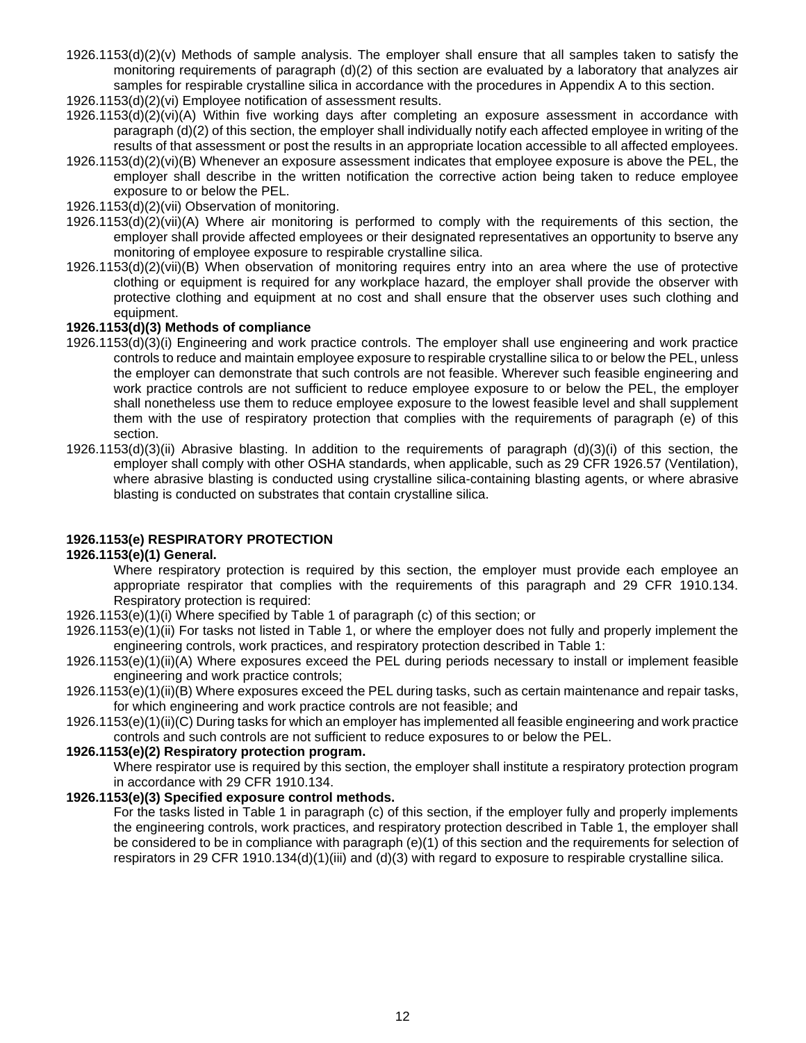- 1926.1153(d)(2)(v) Methods of sample analysis. The employer shall ensure that all samples taken to satisfy the monitoring requirements of paragraph (d)(2) of this section are evaluated by a laboratory that analyzes air samples for respirable crystalline silica in accordance with the procedures in Appendix A to this section.
- 1926.1153(d)(2)(vi) Employee notification of assessment results.
- 1926.1153(d)(2)(vi)(A) Within five working days after completing an exposure assessment in accordance with paragraph (d)(2) of this section, the employer shall individually notify each affected employee in writing of the results of that assessment or post the results in an appropriate location accessible to all affected employees.
- 1926.1153(d)(2)(vi)(B) Whenever an exposure assessment indicates that employee exposure is above the PEL, the employer shall describe in the written notification the corrective action being taken to reduce employee exposure to or below the PEL.
- 1926.1153(d)(2)(vii) Observation of monitoring.
- 1926.1153(d)(2)(vii)(A) Where air monitoring is performed to comply with the requirements of this section, the employer shall provide affected employees or their designated representatives an opportunity to bserve any monitoring of employee exposure to respirable crystalline silica.
- 1926.1153(d)(2)(vii)(B) When observation of monitoring requires entry into an area where the use of protective clothing or equipment is required for any workplace hazard, the employer shall provide the observer with protective clothing and equipment at no cost and shall ensure that the observer uses such clothing and equipment.

#### **1926.1153(d)(3) Methods of compliance**

- 1926.1153(d)(3)(i) Engineering and work practice controls. The employer shall use engineering and work practice controls to reduce and maintain employee exposure to respirable crystalline silica to or below the PEL, unless the employer can demonstrate that such controls are not feasible. Wherever such feasible engineering and work practice controls are not sufficient to reduce employee exposure to or below the PEL, the employer shall nonetheless use them to reduce employee exposure to the lowest feasible level and shall supplement them with the use of respiratory protection that complies with the requirements of paragraph (e) of this section.
- 1926.1153(d)(3)(ii) Abrasive blasting. In addition to the requirements of paragraph (d)(3)(i) of this section, the employer shall comply with other OSHA standards, when applicable, such as 29 CFR 1926.57 (Ventilation), where abrasive blasting is conducted using crystalline silica-containing blasting agents, or where abrasive blasting is conducted on substrates that contain crystalline silica.

#### <span id="page-11-0"></span>**1926.1153(e) RESPIRATORY PROTECTION**

#### **1926.1153(e)(1) General.**

Where respiratory protection is required by this section, the employer must provide each employee an appropriate respirator that complies with the requirements of this paragraph and 29 CFR 1910.134. Respiratory protection is required:

1926.1153(e)(1)(i) Where specified by Table 1 of paragraph (c) of this section; or

- 1926.1153(e)(1)(ii) For tasks not listed in Table 1, or where the employer does not fully and properly implement the engineering controls, work practices, and respiratory protection described in Table 1:
- 1926.1153(e)(1)(ii)(A) Where exposures exceed the PEL during periods necessary to install or implement feasible engineering and work practice controls;
- 1926.1153(e)(1)(ii)(B) Where exposures exceed the PEL during tasks, such as certain maintenance and repair tasks, for which engineering and work practice controls are not feasible; and
- 1926.1153(e)(1)(ii)(C) During tasks for which an employer has implemented all feasible engineering and work practice controls and such controls are not sufficient to reduce exposures to or below the PEL.

#### **1926.1153(e)(2) Respiratory protection program.**

Where respirator use is required by this section, the employer shall institute a respiratory protection program in accordance with 29 CFR 1910.134.

#### **1926.1153(e)(3) Specified exposure control methods.**

<span id="page-11-1"></span>For the tasks listed in Table 1 in paragraph (c) of this section, if the employer fully and properly implements the engineering controls, work practices, and respiratory protection described in Table 1, the employer shall be considered to be in compliance with paragraph (e)(1) of this section and the requirements for selection of respirators in 29 CFR 1910.134(d)(1)(iii) and (d)(3) with regard to exposure to respirable crystalline silica.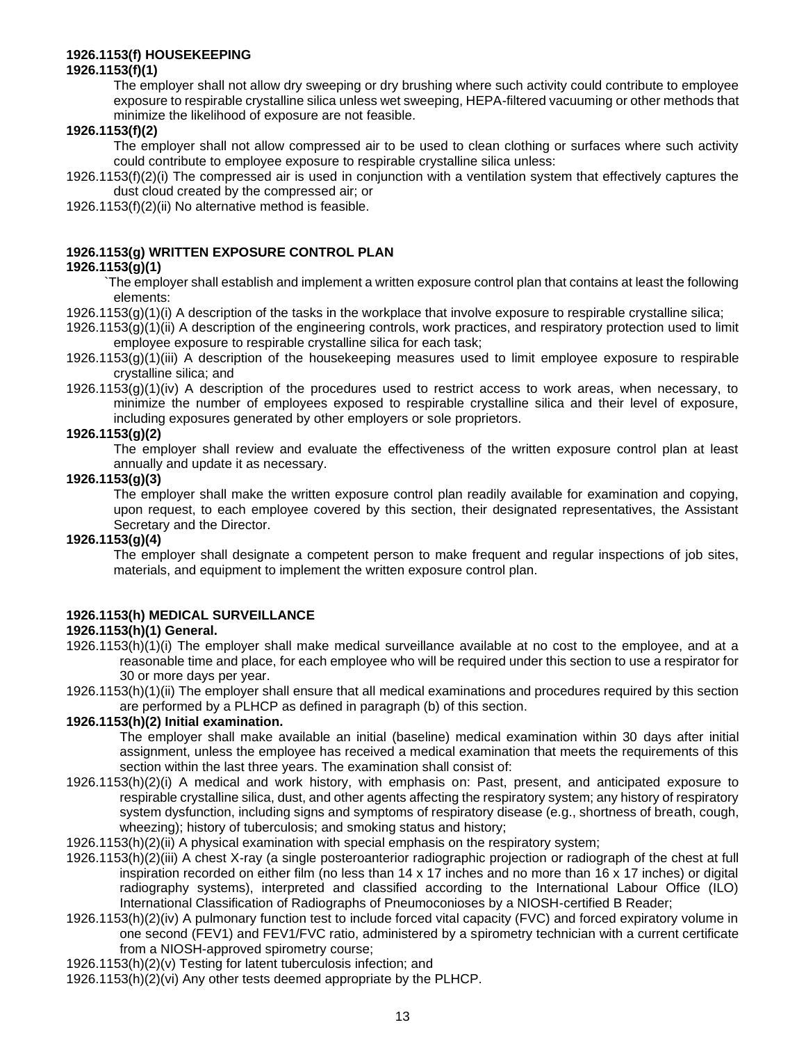#### **1926.1153(f) HOUSEKEEPING**

#### **1926.1153(f)(1)**

The employer shall not allow dry sweeping or dry brushing where such activity could contribute to employee exposure to respirable crystalline silica unless wet sweeping, HEPA-filtered vacuuming or other methods that minimize the likelihood of exposure are not feasible.

#### **1926.1153(f)(2)**

The employer shall not allow compressed air to be used to clean clothing or surfaces where such activity could contribute to employee exposure to respirable crystalline silica unless:

1926.1153(f)(2)(i) The compressed air is used in conjunction with a ventilation system that effectively captures the dust cloud created by the compressed air; or

1926.1153(f)(2)(ii) No alternative method is feasible.

#### <span id="page-12-0"></span>**1926.1153(g) WRITTEN EXPOSURE CONTROL PLAN**

#### **1926.1153(g)(1)**

`The employer shall establish and implement a written exposure control plan that contains at least the following elements:

1926.1153(g)(1)(i) A description of the tasks in the workplace that involve exposure to respirable crystalline silica;

1926.1153(g)(1)(ii) A description of the engineering controls, work practices, and respiratory protection used to limit employee exposure to respirable crystalline silica for each task;

- 1926.1153(g)(1)(iii) A description of the housekeeping measures used to limit employee exposure to respirable crystalline silica; and
- 1926.1153(g)(1)(iv) A description of the procedures used to restrict access to work areas, when necessary, to minimize the number of employees exposed to respirable crystalline silica and their level of exposure, including exposures generated by other employers or sole proprietors.

#### **1926.1153(g)(2)**

The employer shall review and evaluate the effectiveness of the written exposure control plan at least annually and update it as necessary.

#### **1926.1153(g)(3)**

The employer shall make the written exposure control plan readily available for examination and copying, upon request, to each employee covered by this section, their designated representatives, the Assistant Secretary and the Director.

#### **1926.1153(g)(4)**

The employer shall designate a competent person to make frequent and regular inspections of job sites, materials, and equipment to implement the written exposure control plan.

#### <span id="page-12-1"></span>**1926.1153(h) MEDICAL SURVEILLANCE**

#### **1926.1153(h)(1) General.**

- 1926.1153(h)(1)(i) The employer shall make medical surveillance available at no cost to the employee, and at a reasonable time and place, for each employee who will be required under this section to use a respirator for 30 or more days per year.
- 1926.1153(h)(1)(ii) The employer shall ensure that all medical examinations and procedures required by this section are performed by a PLHCP as defined in paragraph (b) of this section.

#### **1926.1153(h)(2) Initial examination.**

The employer shall make available an initial (baseline) medical examination within 30 days after initial assignment, unless the employee has received a medical examination that meets the requirements of this section within the last three years. The examination shall consist of:

- 1926.1153(h)(2)(i) A medical and work history, with emphasis on: Past, present, and anticipated exposure to respirable crystalline silica, dust, and other agents affecting the respiratory system; any history of respiratory system dysfunction, including signs and symptoms of respiratory disease (e.g., shortness of breath, cough, wheezing); history of tuberculosis; and smoking status and history;
- 1926.1153(h)(2)(ii) A physical examination with special emphasis on the respiratory system;
- 1926.1153(h)(2)(iii) A chest X-ray (a single posteroanterior radiographic projection or radiograph of the chest at full inspiration recorded on either film (no less than 14 x 17 inches and no more than 16 x 17 inches) or digital radiography systems), interpreted and classified according to the International Labour Office (ILO) International Classification of Radiographs of Pneumoconioses by a NIOSH-certified B Reader;
- 1926.1153(h)(2)(iv) A pulmonary function test to include forced vital capacity (FVC) and forced expiratory volume in one second (FEV1) and FEV1/FVC ratio, administered by a spirometry technician with a current certificate from a NIOSH-approved spirometry course;

1926.1153(h)(2)(v) Testing for latent tuberculosis infection; and

1926.1153(h)(2)(vi) Any other tests deemed appropriate by the PLHCP.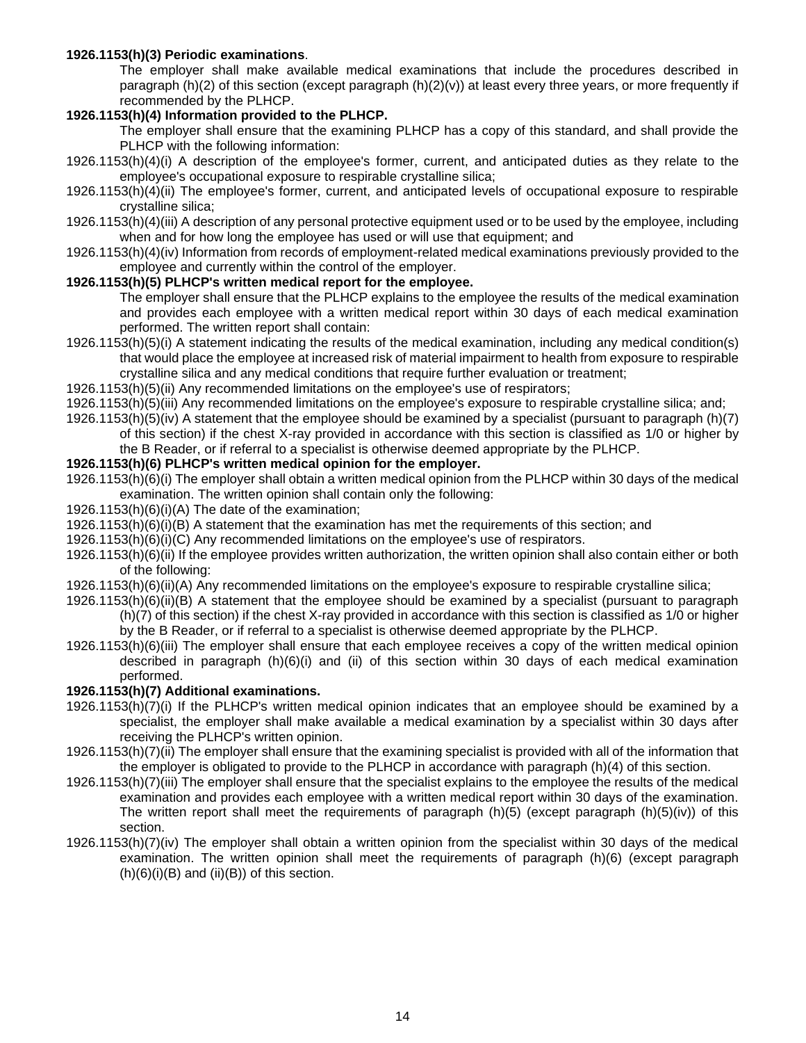#### **1926.1153(h)(3) Periodic examinations**.

The employer shall make available medical examinations that include the procedures described in paragraph (h)(2) of this section (except paragraph  $(h)(2)(v)$ ) at least every three years, or more frequently if recommended by the PLHCP.

#### **1926.1153(h)(4) Information provided to the PLHCP.**

- The employer shall ensure that the examining PLHCP has a copy of this standard, and shall provide the PLHCP with the following information:
- 1926.1153(h)(4)(i) A description of the employee's former, current, and anticipated duties as they relate to the employee's occupational exposure to respirable crystalline silica;
- 1926.1153(h)(4)(ii) The employee's former, current, and anticipated levels of occupational exposure to respirable crystalline silica;
- 1926.1153(h)(4)(iii) A description of any personal protective equipment used or to be used by the employee, including when and for how long the employee has used or will use that equipment; and
- 1926.1153(h)(4)(iv) Information from records of employment-related medical examinations previously provided to the employee and currently within the control of the employer.

#### **1926.1153(h)(5) PLHCP's written medical report for the employee.**

- The employer shall ensure that the PLHCP explains to the employee the results of the medical examination and provides each employee with a written medical report within 30 days of each medical examination performed. The written report shall contain:
- 1926.1153(h)(5)(i) A statement indicating the results of the medical examination, including any medical condition(s) that would place the employee at increased risk of material impairment to health from exposure to respirable crystalline silica and any medical conditions that require further evaluation or treatment;
- 1926.1153(h)(5)(ii) Any recommended limitations on the employee's use of respirators;
- 1926.1153(h)(5)(iii) Any recommended limitations on the employee's exposure to respirable crystalline silica; and;
- 1926.1153(h)(5)(iv) A statement that the employee should be examined by a specialist (pursuant to paragraph (h)(7) of this section) if the chest X-ray provided in accordance with this section is classified as 1/0 or higher by
	- the B Reader, or if referral to a specialist is otherwise deemed appropriate by the PLHCP.

#### **1926.1153(h)(6) PLHCP's written medical opinion for the employer.**

- 1926.1153(h)(6)(i) The employer shall obtain a written medical opinion from the PLHCP within 30 days of the medical examination. The written opinion shall contain only the following:
- 1926.1153(h)(6)(i)(A) The date of the examination;
- 1926.1153(h)(6)(i)(B) A statement that the examination has met the requirements of this section; and
- 1926.1153(h)(6)(i)(C) Any recommended limitations on the employee's use of respirators.
- 1926.1153(h)(6)(ii) If the employee provides written authorization, the written opinion shall also contain either or both of the following:
- 1926.1153(h)(6)(ii)(A) Any recommended limitations on the employee's exposure to respirable crystalline silica;
- 1926.1153(h)(6)(ii)(B) A statement that the employee should be examined by a specialist (pursuant to paragraph (h)(7) of this section) if the chest X-ray provided in accordance with this section is classified as 1/0 or higher by the B Reader, or if referral to a specialist is otherwise deemed appropriate by the PLHCP.
- 1926.1153(h)(6)(iii) The employer shall ensure that each employee receives a copy of the written medical opinion described in paragraph (h)(6)(i) and (ii) of this section within 30 days of each medical examination performed.

#### **1926.1153(h)(7) Additional examinations.**

- 1926.1153(h)(7)(i) If the PLHCP's written medical opinion indicates that an employee should be examined by a specialist, the employer shall make available a medical examination by a specialist within 30 days after receiving the PLHCP's written opinion.
- 1926.1153(h)(7)(ii) The employer shall ensure that the examining specialist is provided with all of the information that the employer is obligated to provide to the PLHCP in accordance with paragraph (h)(4) of this section.
- 1926.1153(h)(7)(iii) The employer shall ensure that the specialist explains to the employee the results of the medical examination and provides each employee with a written medical report within 30 days of the examination. The written report shall meet the requirements of paragraph  $(h)(5)$  (except paragraph  $(h)(5)(iv)$ ) of this section.
- <span id="page-13-0"></span>1926.1153(h)(7)(iv) The employer shall obtain a written opinion from the specialist within 30 days of the medical examination. The written opinion shall meet the requirements of paragraph (h)(6) (except paragraph  $(h)(6)(i)(B)$  and  $(ii)(B)$ ) of this section.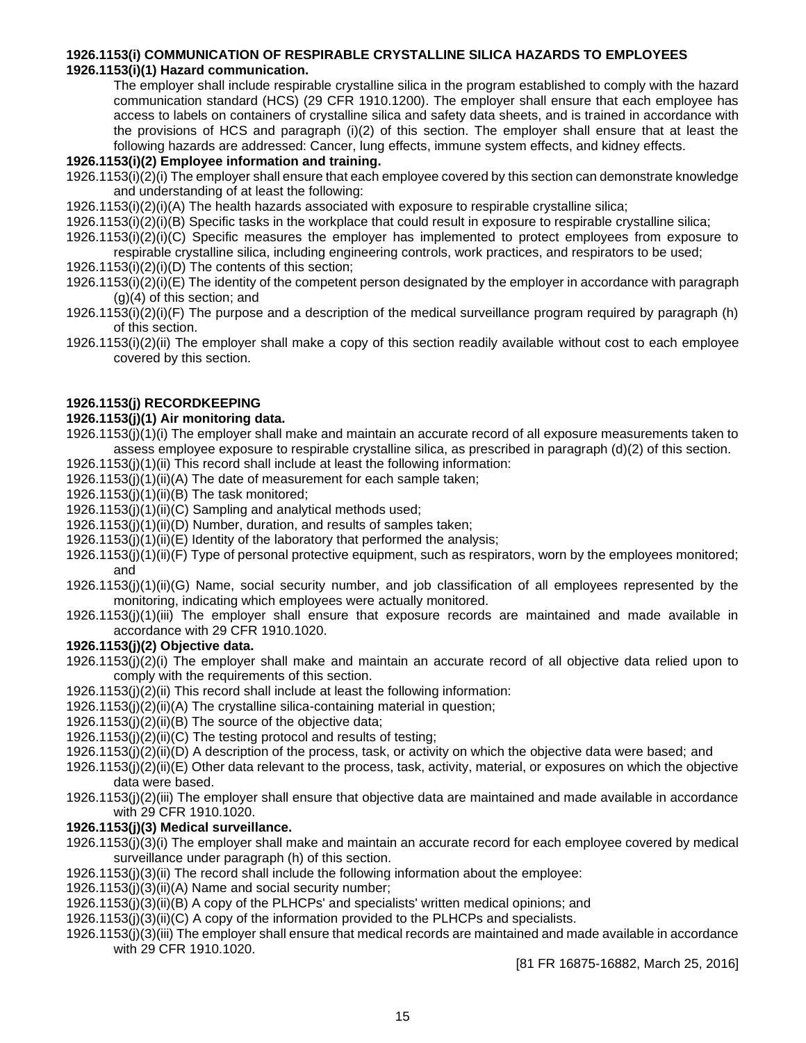#### **1926.1153(i) COMMUNICATION OF RESPIRABLE CRYSTALLINE SILICA HAZARDS TO EMPLOYEES 1926.1153(i)(1) Hazard communication.**

The employer shall include respirable crystalline silica in the program established to comply with the hazard communication standard (HCS) (29 CFR 1910.1200). The employer shall ensure that each employee has access to labels on containers of crystalline silica and safety data sheets, and is trained in accordance with the provisions of HCS and paragraph (i)(2) of this section. The employer shall ensure that at least the following hazards are addressed: Cancer, lung effects, immune system effects, and kidney effects.

#### **1926.1153(i)(2) Employee information and training.**

- 1926.1153(i)(2)(i) The employer shall ensure that each employee covered by this section can demonstrate knowledge and understanding of at least the following:
- 1926.1153(i)(2)(i)(A) The health hazards associated with exposure to respirable crystalline silica;
- 1926.1153(i)(2)(i)(B) Specific tasks in the workplace that could result in exposure to respirable crystalline silica;
- 1926.1153(i)(2)(i)(C) Specific measures the employer has implemented to protect employees from exposure to respirable crystalline silica, including engineering controls, work practices, and respirators to be used;
- 1926.1153(i)(2)(i)(D) The contents of this section;
- 1926.1153(i)(2)(i)(E) The identity of the competent person designated by the employer in accordance with paragraph (g)(4) of this section; and
- 1926.1153(i)(2)(i)(F) The purpose and a description of the medical surveillance program required by paragraph (h) of this section.
- 1926.1153(i)(2)(ii) The employer shall make a copy of this section readily available without cost to each employee covered by this section.

#### <span id="page-14-0"></span>**1926.1153(j) RECORDKEEPING**

#### **1926.1153(j)(1) Air monitoring data.**

- 1926.1153(j)(1)(i) The employer shall make and maintain an accurate record of all exposure measurements taken to assess employee exposure to respirable crystalline silica, as prescribed in paragraph (d)(2) of this section.
- 1926.1153(j)(1)(ii) This record shall include at least the following information:
- 1926.1153(j)(1)(ii)(A) The date of measurement for each sample taken;
- 1926.1153(j)(1)(ii)(B) The task monitored;
- 1926.1153(j)(1)(ii)(C) Sampling and analytical methods used;
- 1926.1153(j)(1)(ii)(D) Number, duration, and results of samples taken;
- 1926.1153(j)(1)(ii)(E) Identity of the laboratory that performed the analysis;
- 1926.1153(j)(1)(ii)(F) Type of personal protective equipment, such as respirators, worn by the employees monitored; and
- 1926.1153(j)(1)(ii)(G) Name, social security number, and job classification of all employees represented by the monitoring, indicating which employees were actually monitored.
- 1926.1153(j)(1)(iii) The employer shall ensure that exposure records are maintained and made available in accordance with 29 CFR 1910.1020.

#### **1926.1153(j)(2) Objective data.**

- 1926.1153(j)(2)(i) The employer shall make and maintain an accurate record of all objective data relied upon to comply with the requirements of this section.
- 1926.1153(j)(2)(ii) This record shall include at least the following information:
- 1926.1153(j)(2)(ii)(A) The crystalline silica-containing material in question;
- 1926.1153(j)(2)(ii)(B) The source of the objective data;
- 1926.1153(j)(2)(ii)(C) The testing protocol and results of testing;
- 1926.1153(j)(2)(ii)(D) A description of the process, task, or activity on which the objective data were based; and
- 1926.1153(j)(2)(ii)(E) Other data relevant to the process, task, activity, material, or exposures on which the objective data were based.
- 1926.1153(j)(2)(iii) The employer shall ensure that objective data are maintained and made available in accordance with 29 CFR 1910.1020.

#### **1926.1153(j)(3) Medical surveillance.**

- 1926.1153(j)(3)(i) The employer shall make and maintain an accurate record for each employee covered by medical surveillance under paragraph (h) of this section.
- 1926.1153(j)(3)(ii) The record shall include the following information about the employee:
- 1926.1153(j)(3)(ii)(A) Name and social security number;
- 1926.1153(j)(3)(ii)(B) A copy of the PLHCPs' and specialists' written medical opinions; and
- 1926.1153(j)(3)(ii)(C) A copy of the information provided to the PLHCPs and specialists.
- <span id="page-14-1"></span>1926.1153(j)(3)(iii) The employer shall ensure that medical records are maintained and made available in accordance with 29 CFR 1910.1020.

[81 FR 16875-16882, March 25, 2016]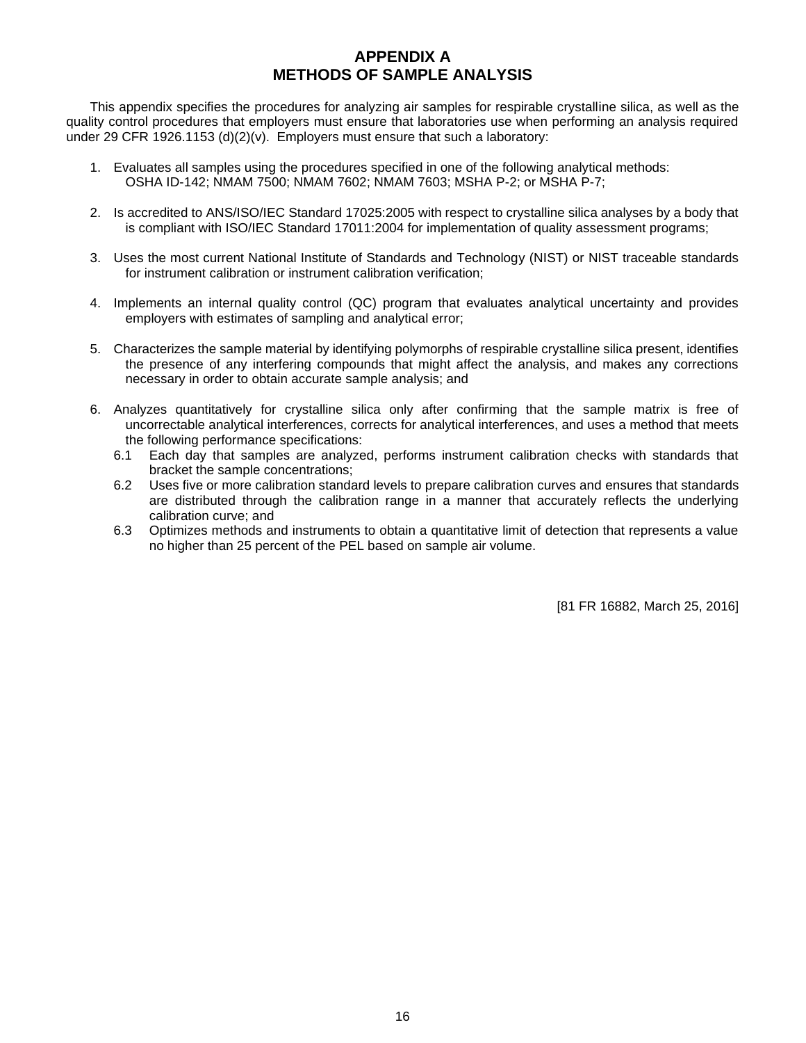## **APPENDIX A METHODS OF SAMPLE ANALYSIS**

<span id="page-15-0"></span>This appendix specifies the procedures for analyzing air samples for respirable crystalline silica, as well as the quality control procedures that employers must ensure that laboratories use when performing an analysis required under [29 CFR 1926.1153](https://www.federalregister.gov/select-citation/2016/03/25/29-CFR-1926.1153) (d)(2)(v). Employers must ensure that such a laboratory:

- 1. Evaluates all samples using the procedures specified in one of the following analytical methods: OSHA ID-142; NMAM 7500; NMAM 7602; NMAM 7603; MSHA P-2; or MSHA P-7;
- 2. Is accredited to ANS/ISO/IEC Standard 17025:2005 with respect to crystalline silica analyses by a body that is compliant with ISO/IEC Standard 17011:2004 for implementation of quality assessment programs;
- 3. Uses the most current National Institute of Standards and Technology (NIST) or NIST traceable standards for instrument calibration or instrument calibration verification;
- 4. Implements an internal quality control (QC) program that evaluates analytical uncertainty and provides employers with estimates of sampling and analytical error;
- 5. Characterizes the sample material by identifying polymorphs of respirable crystalline silica present, identifies the presence of any interfering compounds that might affect the analysis, and makes any corrections necessary in order to obtain accurate sample analysis; and
- 6. Analyzes quantitatively for crystalline silica only after confirming that the sample matrix is free of uncorrectable analytical interferences, corrects for analytical interferences, and uses a method that meets the following performance specifications:
	- 6.1 Each day that samples are analyzed, performs instrument calibration checks with standards that bracket the sample concentrations;
	- 6.2 Uses five or more calibration standard levels to prepare calibration curves and ensures that standards are distributed through the calibration range in a manner that accurately reflects the underlying calibration curve; and
	- 6.3 Optimizes methods and instruments to obtain a quantitative limit of detection that represents a value no higher than 25 percent of the PEL based on sample air volume.

[81 FR 16882, March 25, 2016]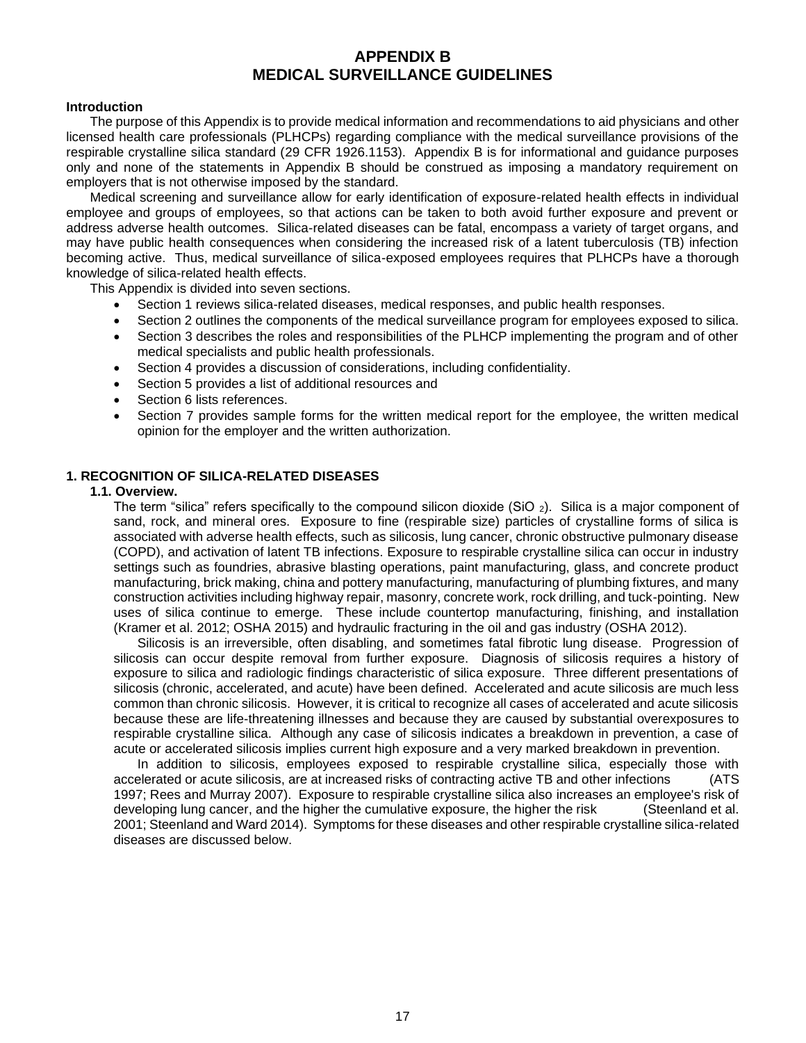## **APPENDIX B MEDICAL SURVEILLANCE GUIDELINES**

#### <span id="page-16-1"></span><span id="page-16-0"></span>**Introduction**

The purpose of this Appendix is to provide medical information and recommendations to aid physicians and other licensed health care professionals (PLHCPs) regarding compliance with the medical surveillance provisions of the respirable crystalline silica standard [\(29 CFR 1926.1153\)](https://www.federalregister.gov/select-citation/2016/03/25/29-CFR-1926.1153). Appendix B is for informational and guidance purposes only and none of the statements in Appendix B should be construed as imposing a mandatory requirement on employers that is not otherwise imposed by the standard.

Medical screening and surveillance allow for early identification of exposure-related health effects in individual employee and groups of employees, so that actions can be taken to both avoid further exposure and prevent or address adverse health outcomes. Silica-related diseases can be fatal, encompass a variety of target organs, and may have public health consequences when considering the increased risk of a latent tuberculosis (TB) infection becoming active. Thus, medical surveillance of silica-exposed employees requires that PLHCPs have a thorough knowledge of silica-related health effects.

This Appendix is divided into seven sections.

- Section 1 reviews silica-related diseases, medical responses, and public health responses.
- Section 2 outlines the components of the medical surveillance program for employees exposed to silica. • Section 3 describes the roles and responsibilities of the PLHCP implementing the program and of other medical specialists and public health professionals.
- Section 4 provides a discussion of considerations, including confidentiality.
- Section 5 provides a list of additional resources and
- Section 6 lists references.
- Section 7 provides sample forms for the written medical report for the employee, the written medical opinion for the employer and the written authorization.

#### **1. RECOGNITION OF SILICA-RELATED DISEASES**

#### **1.1. Overview.**

The term "silica" refers specifically to the compound silicon dioxide (SiO 2). Silica is a major component of sand, rock, and mineral ores. Exposure to fine (respirable size) particles of crystalline forms of silica is associated with adverse health effects, such as silicosis, lung cancer, chronic obstructive pulmonary disease (COPD), and activation of latent TB infections. Exposure to respirable crystalline silica can occur in industry settings such as foundries, abrasive blasting operations, paint manufacturing, glass, and concrete product manufacturing, brick making, china and pottery manufacturing, manufacturing of plumbing fixtures, and many construction activities including highway repair, masonry, concrete work, rock drilling, and tuck-pointing. New uses of silica continue to emerge. These include countertop manufacturing, finishing, and installation (Kramer et al. 2012; OSHA 2015) and hydraulic fracturing in the oil and gas industry (OSHA 2012).

Silicosis is an irreversible, often disabling, and sometimes fatal fibrotic lung disease. Progression of silicosis can occur despite removal from further exposure. Diagnosis of silicosis requires a history of exposure to silica and radiologic findings characteristic of silica exposure. Three different presentations of silicosis (chronic, accelerated, and acute) have been defined. Accelerated and acute silicosis are much less common than chronic silicosis. However, it is critical to recognize all cases of accelerated and acute silicosis because these are life-threatening illnesses and because they are caused by substantial overexposures to respirable crystalline silica. Although any case of silicosis indicates a breakdown in prevention, a case of acute or accelerated silicosis implies current high exposure and a very marked breakdown in prevention.

In addition to silicosis, employees exposed to respirable crystalline silica, especially those with accelerated or acute silicosis, are at increased risks of contracting active TB and other infections (ATS 1997; Rees and Murray 2007). Exposure to respirable crystalline silica also increases an employee's risk of developing lung cancer, and the higher the cumulative exposure, the higher the risk (Steenland et al. 2001; Steenland and Ward 2014). Symptoms for these diseases and other respirable crystalline silica-related diseases are discussed below.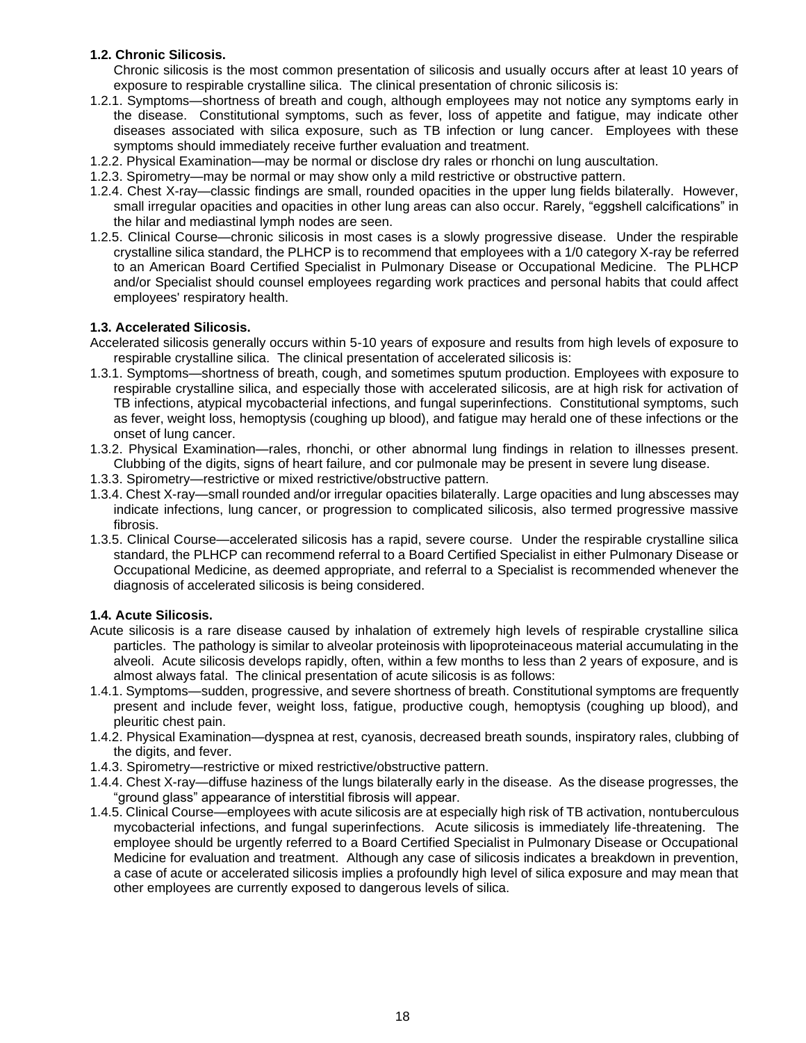#### **1.2. Chronic Silicosis.**

Chronic silicosis is the most common presentation of silicosis and usually occurs after at least 10 years of exposure to respirable crystalline silica. The clinical presentation of chronic silicosis is:

- 1.2.1. Symptoms—shortness of breath and cough, although employees may not notice any symptoms early in the disease. Constitutional symptoms, such as fever, loss of appetite and fatigue, may indicate other diseases associated with silica exposure, such as TB infection or lung cancer. Employees with these symptoms should immediately receive further evaluation and treatment.
- 1.2.2. Physical Examination—may be normal or disclose dry rales or rhonchi on lung auscultation.
- 1.2.3. Spirometry—may be normal or may show only a mild restrictive or obstructive pattern.
- 1.2.4. Chest X-ray—classic findings are small, rounded opacities in the upper lung fields bilaterally. However, small irregular opacities and opacities in other lung areas can also occur. Rarely, "eggshell calcifications" in the hilar and mediastinal lymph nodes are seen.
- 1.2.5. Clinical Course—chronic silicosis in most cases is a slowly progressive disease. Under the respirable crystalline silica standard, the PLHCP is to recommend that employees with a 1/0 category X-ray be referred to an American Board Certified Specialist in Pulmonary Disease or Occupational Medicine. The PLHCP and/or Specialist should counsel employees regarding work practices and personal habits that could affect employees' respiratory health.

#### **1.3. Accelerated Silicosis.**

- Accelerated silicosis generally occurs within 5-10 years of exposure and results from high levels of exposure to respirable crystalline silica. The clinical presentation of accelerated silicosis is:
- 1.3.1. Symptoms—shortness of breath, cough, and sometimes sputum production. Employees with exposure to respirable crystalline silica, and especially those with accelerated silicosis, are at high risk for activation of TB infections, atypical mycobacterial infections, and fungal superinfections. Constitutional symptoms, such as fever, weight loss, hemoptysis (coughing up blood), and fatigue may herald one of these infections or the onset of lung cancer.
- 1.3.2. Physical Examination—rales, rhonchi, or other abnormal lung findings in relation to illnesses present. Clubbing of the digits, signs of heart failure, and cor pulmonale may be present in severe lung disease.
- 1.3.3. Spirometry—restrictive or mixed restrictive/obstructive pattern.
- 1.3.4. Chest X-ray—small rounded and/or irregular opacities bilaterally. Large opacities and lung abscesses may indicate infections, lung cancer, or progression to complicated silicosis, also termed progressive massive fibrosis.
- 1.3.5. Clinical Course—accelerated silicosis has a rapid, severe course. Under the respirable crystalline silica standard, the PLHCP can recommend referral to a Board Certified Specialist in either Pulmonary Disease or Occupational Medicine, as deemed appropriate, and referral to a Specialist is recommended whenever the diagnosis of accelerated silicosis is being considered.

#### **1.4. Acute Silicosis.**

- Acute silicosis is a rare disease caused by inhalation of extremely high levels of respirable crystalline silica particles. The pathology is similar to alveolar proteinosis with lipoproteinaceous material accumulating in the alveoli. Acute silicosis develops rapidly, often, within a few months to less than 2 years of exposure, and is almost always fatal. The clinical presentation of acute silicosis is as follows:
- 1.4.1. Symptoms—sudden, progressive, and severe shortness of breath. Constitutional symptoms are frequently present and include fever, weight loss, fatigue, productive cough, hemoptysis (coughing up blood), and pleuritic chest pain.
- 1.4.2. Physical Examination—dyspnea at rest, cyanosis, decreased breath sounds, inspiratory rales, clubbing of the digits, and fever.
- 1.4.3. Spirometry—restrictive or mixed restrictive/obstructive pattern.
- 1.4.4. Chest X-ray—diffuse haziness of the lungs bilaterally early in the disease. As the disease progresses, the "ground glass" appearance of interstitial fibrosis will appear.
- 1.4.5. Clinical Course—employees with acute silicosis are at especially high risk of TB activation, nontuberculous mycobacterial infections, and fungal superinfections. Acute silicosis is immediately life-threatening. The employee should be urgently referred to a Board Certified Specialist in Pulmonary Disease or Occupational Medicine for evaluation and treatment. Although any case of silicosis indicates a breakdown in prevention, a case of acute or accelerated silicosis implies a profoundly high level of silica exposure and may mean that other employees are currently exposed to dangerous levels of silica.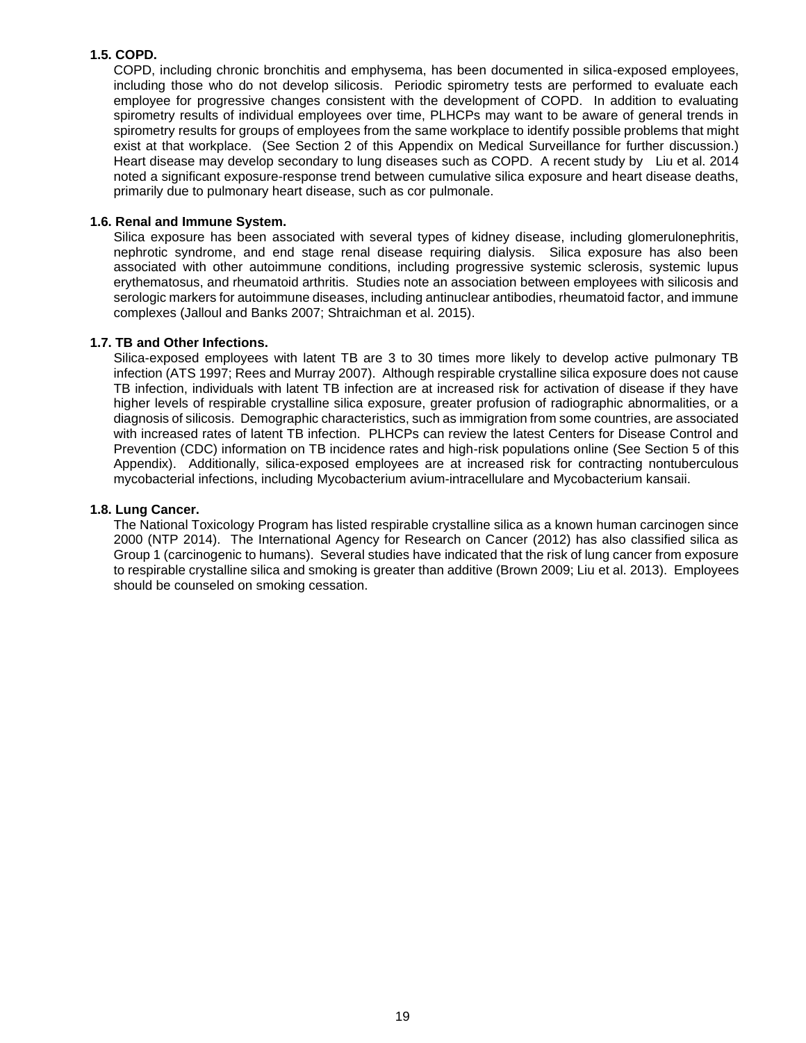#### **1.5. COPD.**

COPD, including chronic bronchitis and emphysema, has been documented in silica-exposed employees, including those who do not develop silicosis. Periodic spirometry tests are performed to evaluate each employee for progressive changes consistent with the development of COPD. In addition to evaluating spirometry results of individual employees over time, PLHCPs may want to be aware of general trends in spirometry results for groups of employees from the same workplace to identify possible problems that might exist at that workplace. (See Section 2 of this Appendix on Medical Surveillance for further discussion.) Heart disease may develop secondary to lung diseases such as COPD. A recent study by Liu et al. 2014 noted a significant exposure-response trend between cumulative silica exposure and heart disease deaths, primarily due to pulmonary heart disease, such as cor pulmonale.

#### **1.6. Renal and Immune System.**

Silica exposure has been associated with several types of kidney disease, including glomerulonephritis, nephrotic syndrome, and end stage renal disease requiring dialysis. Silica exposure has also been associated with other autoimmune conditions, including progressive systemic sclerosis, systemic lupus erythematosus, and rheumatoid arthritis. Studies note an association between employees with silicosis and serologic markers for autoimmune diseases, including antinuclear antibodies, rheumatoid factor, and immune complexes (Jalloul and Banks 2007; Shtraichman et al. 2015).

#### **1.7. TB and Other Infections.**

Silica-exposed employees with latent TB are 3 to 30 times more likely to develop active pulmonary TB infection (ATS 1997; Rees and Murray 2007). Although respirable crystalline silica exposure does not cause TB infection, individuals with latent TB infection are at increased risk for activation of disease if they have higher levels of respirable crystalline silica exposure, greater profusion of radiographic abnormalities, or a diagnosis of silicosis. Demographic characteristics, such as immigration from some countries, are associated with increased rates of latent TB infection. PLHCPs can review the latest Centers for Disease Control and Prevention (CDC) information on TB incidence rates and high-risk populations online (See Section 5 of this Appendix). Additionally, silica-exposed employees are at increased risk for contracting nontuberculous mycobacterial infections, including Mycobacterium avium-intracellulare and Mycobacterium kansaii.

#### **1.8. Lung Cancer.**

The National Toxicology Program has listed respirable crystalline silica as a known human carcinogen since 2000 (NTP 2014). The International Agency for Research on Cancer (2012) has also classified silica as Group 1 (carcinogenic to humans). Several studies have indicated that the risk of lung cancer from exposure to respirable crystalline silica and smoking is greater than additive (Brown 2009; Liu et al. 2013). Employees should be counseled on smoking cessation.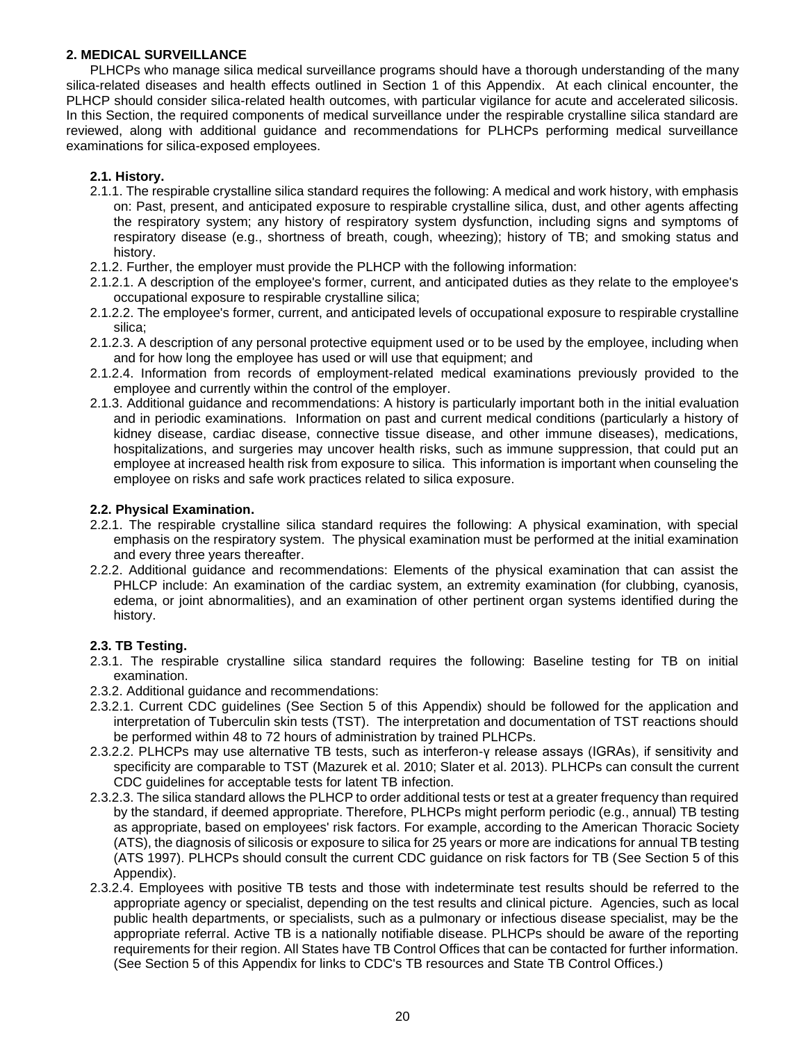#### **2. MEDICAL SURVEILLANCE**

PLHCPs who manage silica medical surveillance programs should have a thorough understanding of the many silica-related diseases and health effects outlined in Section 1 of this Appendix. At each clinical encounter, the PLHCP should consider silica-related health outcomes, with particular vigilance for acute and accelerated silicosis. In this Section, the required components of medical surveillance under the respirable crystalline silica standard are reviewed, along with additional guidance and recommendations for PLHCPs performing medical surveillance examinations for silica-exposed employees.

#### **2.1. History.**

- 2.1.1. The respirable crystalline silica standard requires the following: A medical and work history, with emphasis on: Past, present, and anticipated exposure to respirable crystalline silica, dust, and other agents affecting the respiratory system; any history of respiratory system dysfunction, including signs and symptoms of respiratory disease (e.g., shortness of breath, cough, wheezing); history of TB; and smoking status and history.
- 2.1.2. Further, the employer must provide the PLHCP with the following information:
- 2.1.2.1. A description of the employee's former, current, and anticipated duties as they relate to the employee's occupational exposure to respirable crystalline silica;
- 2.1.2.2. The employee's former, current, and anticipated levels of occupational exposure to respirable crystalline silica;
- 2.1.2.3. A description of any personal protective equipment used or to be used by the employee, including when and for how long the employee has used or will use that equipment; and
- 2.1.2.4. Information from records of employment-related medical examinations previously provided to the employee and currently within the control of the employer.
- 2.1.3. Additional guidance and recommendations: A history is particularly important both in the initial evaluation and in periodic examinations. Information on past and current medical conditions (particularly a history of kidney disease, cardiac disease, connective tissue disease, and other immune diseases), medications, hospitalizations, and surgeries may uncover health risks, such as immune suppression, that could put an employee at increased health risk from exposure to silica. This information is important when counseling the employee on risks and safe work practices related to silica exposure.

#### **2.2. Physical Examination.**

- 2.2.1. The respirable crystalline silica standard requires the following: A physical examination, with special emphasis on the respiratory system. The physical examination must be performed at the initial examination and every three years thereafter.
- 2.2.2. Additional guidance and recommendations: Elements of the physical examination that can assist the PHLCP include: An examination of the cardiac system, an extremity examination (for clubbing, cyanosis, edema, or joint abnormalities), and an examination of other pertinent organ systems identified during the history.

#### **2.3. TB Testing.**

- 2.3.1. The respirable crystalline silica standard requires the following: Baseline testing for TB on initial examination.
- 2.3.2. Additional guidance and recommendations:
- 2.3.2.1. Current CDC guidelines (See Section 5 of this Appendix) should be followed for the application and interpretation of Tuberculin skin tests (TST). The interpretation and documentation of TST reactions should be performed within 48 to 72 hours of administration by trained PLHCPs.
- 2.3.2.2. PLHCPs may use alternative TB tests, such as interferon-γ release assays (IGRAs), if sensitivity and specificity are comparable to TST (Mazurek et al. 2010; Slater et al. 2013). PLHCPs can consult the current CDC guidelines for acceptable tests for latent TB infection.
- 2.3.2.3. The silica standard allows the PLHCP to order additional tests or test at a greater frequency than required by the standard, if deemed appropriate. Therefore, PLHCPs might perform periodic (e.g., annual) TB testing as appropriate, based on employees' risk factors. For example, according to the American Thoracic Society (ATS), the diagnosis of silicosis or exposure to silica for 25 years or more are indications for annual TB testing (ATS 1997). PLHCPs should consult the current CDC guidance on risk factors for TB (See Section 5 of this Appendix).
- 2.3.2.4. Employees with positive TB tests and those with indeterminate test results should be referred to the appropriate agency or specialist, depending on the test results and clinical picture. Agencies, such as local public health departments, or specialists, such as a pulmonary or infectious disease specialist, may be the appropriate referral. Active TB is a nationally notifiable disease. PLHCPs should be aware of the reporting requirements for their region. All States have TB Control Offices that can be contacted for further information. (See Section 5 of this Appendix for links to CDC's TB resources and State TB Control Offices.)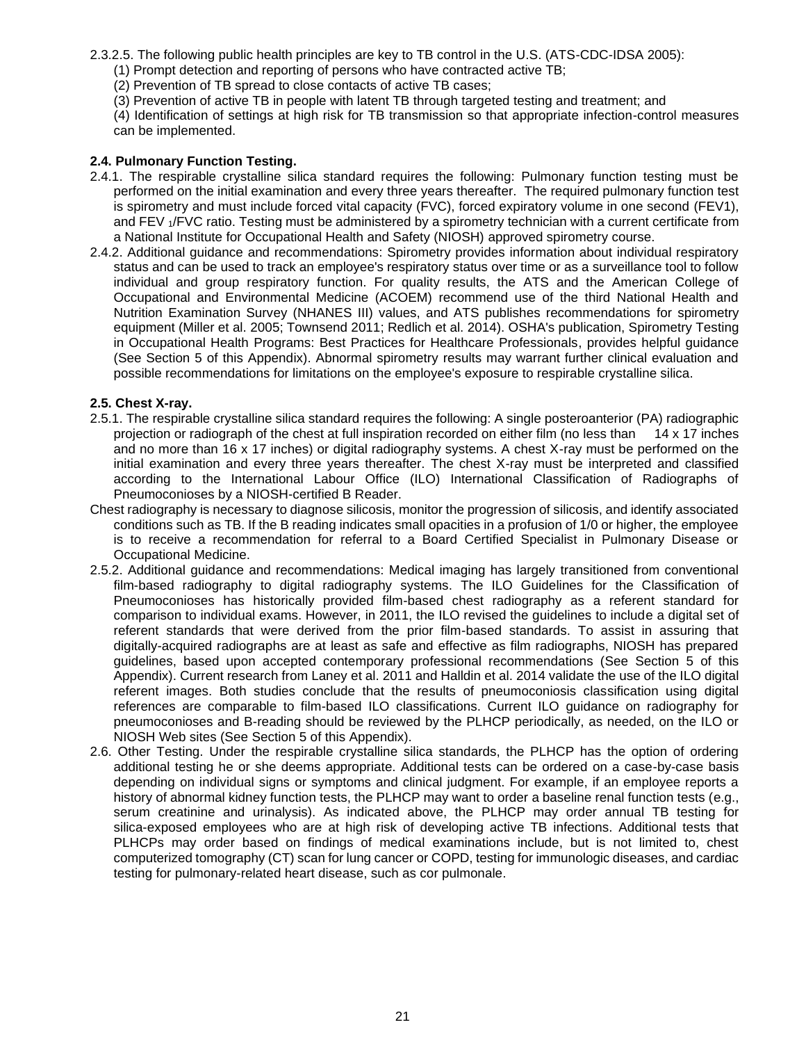- 2.3.2.5. The following public health principles are key to TB control in the U.S. (ATS-CDC-IDSA 2005):
	- (1) Prompt detection and reporting of persons who have contracted active TB;
	- (2) Prevention of TB spread to close contacts of active TB cases;
	- (3) Prevention of active TB in people with latent TB through targeted testing and treatment; and

(4) Identification of settings at high risk for TB transmission so that appropriate infection-control measures can be implemented.

#### **2.4. Pulmonary Function Testing.**

- 2.4.1. The respirable crystalline silica standard requires the following: Pulmonary function testing must be performed on the initial examination and every three years thereafter. The required pulmonary function test is spirometry and must include forced vital capacity (FVC), forced expiratory volume in one second (FEV1), and FEV 1/FVC ratio. Testing must be administered by a spirometry technician with a current certificate from a National Institute for Occupational Health and Safety (NIOSH) approved spirometry course.
- 2.4.2. Additional guidance and recommendations: Spirometry provides information about individual respiratory status and can be used to track an employee's respiratory status over time or as a surveillance tool to follow individual and group respiratory function. For quality results, the ATS and the American College of Occupational and Environmental Medicine (ACOEM) recommend use of the third National Health and Nutrition Examination Survey (NHANES III) values, and ATS publishes recommendations for spirometry equipment (Miller et al. 2005; Townsend 2011; Redlich et al. 2014). OSHA's publication, Spirometry Testing in Occupational Health Programs: Best Practices for Healthcare Professionals, provides helpful guidance (See Section 5 of this Appendix). Abnormal spirometry results may warrant further clinical evaluation and possible recommendations for limitations on the employee's exposure to respirable crystalline silica.

#### **2.5. Chest X-ray.**

- 2.5.1. The respirable crystalline silica standard requires the following: A single posteroanterior (PA) radiographic projection or radiograph of the chest at full inspiration recorded on either film (no less than 14 x 17 inches and no more than 16 x 17 inches) or digital radiography systems. A chest X-ray must be performed on the initial examination and every three years thereafter. The chest X-ray must be interpreted and classified according to the International Labour Office (ILO) International Classification of Radiographs of Pneumoconioses by a NIOSH-certified B Reader.
- Chest radiography is necessary to diagnose silicosis, monitor the progression of silicosis, and identify associated conditions such as TB. If the B reading indicates small opacities in a profusion of 1/0 or higher, the employee is to receive a recommendation for referral to a Board Certified Specialist in Pulmonary Disease or Occupational Medicine.
- 2.5.2. Additional guidance and recommendations: Medical imaging has largely transitioned from conventional film-based radiography to digital radiography systems. The ILO Guidelines for the Classification of Pneumoconioses has historically provided film-based chest radiography as a referent standard for comparison to individual exams. However, in 2011, the ILO revised the guidelines to include a digital set of referent standards that were derived from the prior film-based standards. To assist in assuring that digitally-acquired radiographs are at least as safe and effective as film radiographs, NIOSH has prepared guidelines, based upon accepted contemporary professional recommendations (See Section 5 of this Appendix). Current research from Laney et al. 2011 and Halldin et al. 2014 validate the use of the ILO digital referent images. Both studies conclude that the results of pneumoconiosis classification using digital references are comparable to film-based ILO classifications. Current ILO guidance on radiography for pneumoconioses and B-reading should be reviewed by the PLHCP periodically, as needed, on the ILO or NIOSH Web sites (See Section 5 of this Appendix).
- 2.6. Other Testing. Under the respirable crystalline silica standards, the PLHCP has the option of ordering additional testing he or she deems appropriate. Additional tests can be ordered on a case-by-case basis depending on individual signs or symptoms and clinical judgment. For example, if an employee reports a history of abnormal kidney function tests, the PLHCP may want to order a baseline renal function tests (e.g., serum creatinine and urinalysis). As indicated above, the PLHCP may order annual TB testing for silica-exposed employees who are at high risk of developing active TB infections. Additional tests that PLHCPs may order based on findings of medical examinations include, but is not limited to, chest computerized tomography (CT) scan for lung cancer or COPD, testing for immunologic diseases, and cardiac testing for pulmonary-related heart disease, such as cor pulmonale.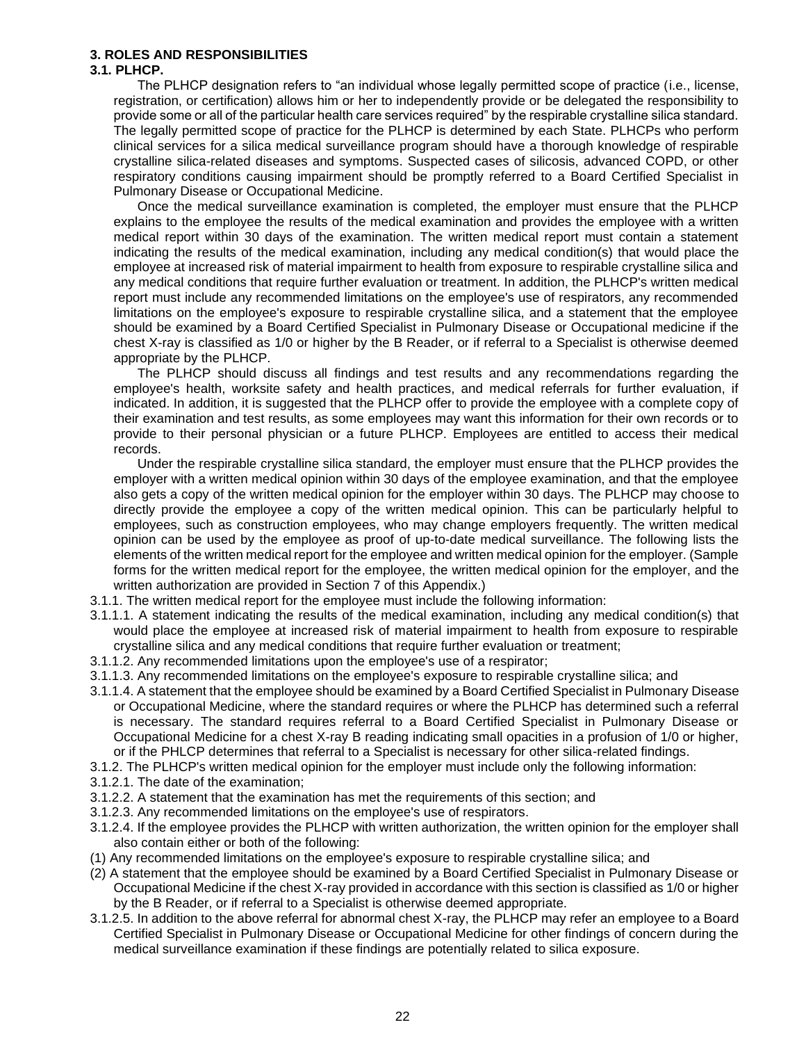#### **3. ROLES AND RESPONSIBILITIES**

#### **3.1. PLHCP.**

The PLHCP designation refers to "an individual whose legally permitted scope of practice (i.e., license, registration, or certification) allows him or her to independently provide or be delegated the responsibility to provide some or all of the particular health care services required" by the respirable crystalline silica standard. The legally permitted scope of practice for the PLHCP is determined by each State. PLHCPs who perform clinical services for a silica medical surveillance program should have a thorough knowledge of respirable crystalline silica-related diseases and symptoms. Suspected cases of silicosis, advanced COPD, or other respiratory conditions causing impairment should be promptly referred to a Board Certified Specialist in Pulmonary Disease or Occupational Medicine.

Once the medical surveillance examination is completed, the employer must ensure that the PLHCP explains to the employee the results of the medical examination and provides the employee with a written medical report within 30 days of the examination. The written medical report must contain a statement indicating the results of the medical examination, including any medical condition(s) that would place the employee at increased risk of material impairment to health from exposure to respirable crystalline silica and any medical conditions that require further evaluation or treatment. In addition, the PLHCP's written medical report must include any recommended limitations on the employee's use of respirators, any recommended limitations on the employee's exposure to respirable crystalline silica, and a statement that the employee should be examined by a Board Certified Specialist in Pulmonary Disease or Occupational medicine if the chest X-ray is classified as 1/0 or higher by the B Reader, or if referral to a Specialist is otherwise deemed appropriate by the PLHCP.

The PLHCP should discuss all findings and test results and any recommendations regarding the employee's health, worksite safety and health practices, and medical referrals for further evaluation, if indicated. In addition, it is suggested that the PLHCP offer to provide the employee with a complete copy of their examination and test results, as some employees may want this information for their own records or to provide to their personal physician or a future PLHCP. Employees are entitled to access their medical records.

Under the respirable crystalline silica standard, the employer must ensure that the PLHCP provides the employer with a written medical opinion within 30 days of the employee examination, and that the employee also gets a copy of the written medical opinion for the employer within 30 days. The PLHCP may choose to directly provide the employee a copy of the written medical opinion. This can be particularly helpful to employees, such as construction employees, who may change employers frequently. The written medical opinion can be used by the employee as proof of up-to-date medical surveillance. The following lists the elements of the written medical report for the employee and written medical opinion for the employer. (Sample forms for the written medical report for the employee, the written medical opinion for the employer, and the written authorization are provided in Section 7 of this Appendix.)

- 3.1.1. The written medical report for the employee must include the following information:
- 3.1.1.1. A statement indicating the results of the medical examination, including any medical condition(s) that would place the employee at increased risk of material impairment to health from exposure to respirable crystalline silica and any medical conditions that require further evaluation or treatment;
- 3.1.1.2. Any recommended limitations upon the employee's use of a respirator;
- 3.1.1.3. Any recommended limitations on the employee's exposure to respirable crystalline silica; and
- 3.1.1.4. A statement that the employee should be examined by a Board Certified Specialist in Pulmonary Disease or Occupational Medicine, where the standard requires or where the PLHCP has determined such a referral is necessary. The standard requires referral to a Board Certified Specialist in Pulmonary Disease or Occupational Medicine for a chest X-ray B reading indicating small opacities in a profusion of 1/0 or higher, or if the PHLCP determines that referral to a Specialist is necessary for other silica-related findings.
- 3.1.2. The PLHCP's written medical opinion for the employer must include only the following information:
- 3.1.2.1. The date of the examination;
- 3.1.2.2. A statement that the examination has met the requirements of this section; and
- 3.1.2.3. Any recommended limitations on the employee's use of respirators.
- 3.1.2.4. If the employee provides the PLHCP with written authorization, the written opinion for the employer shall also contain either or both of the following:
- (1) Any recommended limitations on the employee's exposure to respirable crystalline silica; and
- (2) A statement that the employee should be examined by a Board Certified Specialist in Pulmonary Disease or Occupational Medicine if the chest X-ray provided in accordance with this section is classified as 1/0 or higher by the B Reader, or if referral to a Specialist is otherwise deemed appropriate.
- 3.1.2.5. In addition to the above referral for abnormal chest X-ray, the PLHCP may refer an employee to a Board Certified Specialist in Pulmonary Disease or Occupational Medicine for other findings of concern during the medical surveillance examination if these findings are potentially related to silica exposure.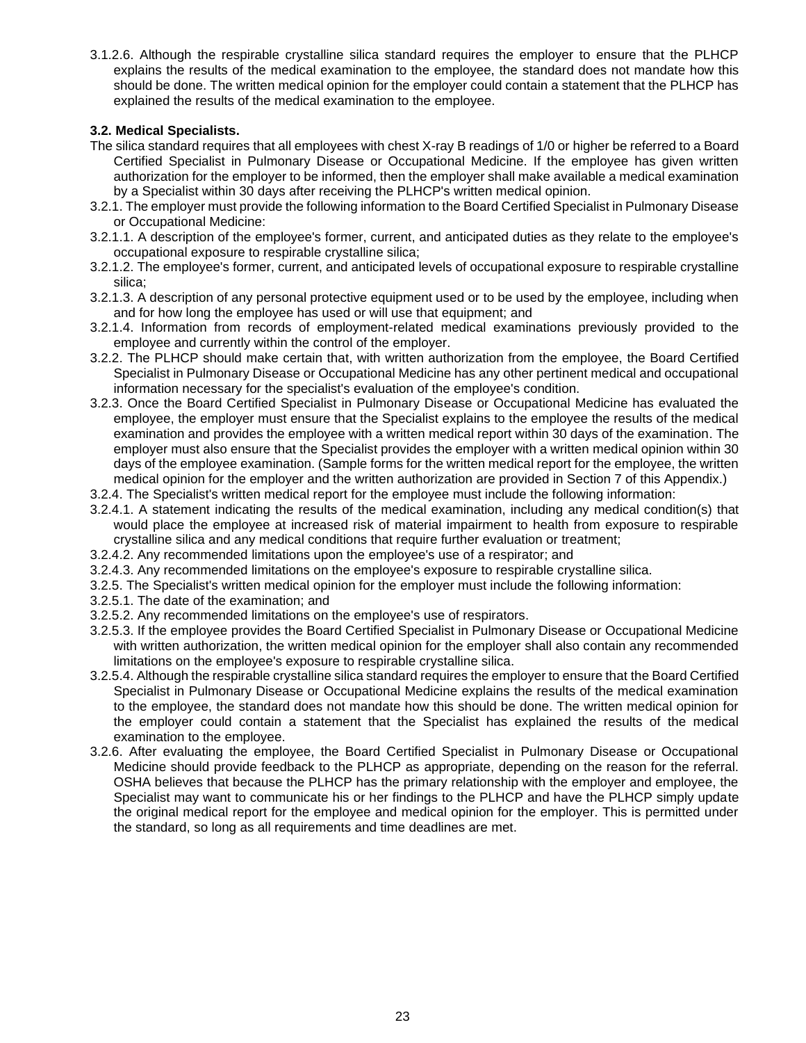3.1.2.6. Although the respirable crystalline silica standard requires the employer to ensure that the PLHCP explains the results of the medical examination to the employee, the standard does not mandate how this should be done. The written medical opinion for the employer could contain a statement that the PLHCP has explained the results of the medical examination to the employee.

#### **3.2. Medical Specialists.**

- The silica standard requires that all employees with chest X-ray B readings of 1/0 or higher be referred to a Board Certified Specialist in Pulmonary Disease or Occupational Medicine. If the employee has given written authorization for the employer to be informed, then the employer shall make available a medical examination by a Specialist within 30 days after receiving the PLHCP's written medical opinion.
- 3.2.1. The employer must provide the following information to the Board Certified Specialist in Pulmonary Disease or Occupational Medicine:
- 3.2.1.1. A description of the employee's former, current, and anticipated duties as they relate to the employee's occupational exposure to respirable crystalline silica;
- 3.2.1.2. The employee's former, current, and anticipated levels of occupational exposure to respirable crystalline silica;
- 3.2.1.3. A description of any personal protective equipment used or to be used by the employee, including when and for how long the employee has used or will use that equipment; and
- 3.2.1.4. Information from records of employment-related medical examinations previously provided to the employee and currently within the control of the employer.
- 3.2.2. The PLHCP should make certain that, with written authorization from the employee, the Board Certified Specialist in Pulmonary Disease or Occupational Medicine has any other pertinent medical and occupational information necessary for the specialist's evaluation of the employee's condition.
- 3.2.3. Once the Board Certified Specialist in Pulmonary Disease or Occupational Medicine has evaluated the employee, the employer must ensure that the Specialist explains to the employee the results of the medical examination and provides the employee with a written medical report within 30 days of the examination. The employer must also ensure that the Specialist provides the employer with a written medical opinion within 30 days of the employee examination. (Sample forms for the written medical report for the employee, the written medical opinion for the employer and the written authorization are provided in Section 7 of this Appendix.)
- 3.2.4. The Specialist's written medical report for the employee must include the following information:
- 3.2.4.1. A statement indicating the results of the medical examination, including any medical condition(s) that would place the employee at increased risk of material impairment to health from exposure to respirable crystalline silica and any medical conditions that require further evaluation or treatment;
- 3.2.4.2. Any recommended limitations upon the employee's use of a respirator; and
- 3.2.4.3. Any recommended limitations on the employee's exposure to respirable crystalline silica.
- 3.2.5. The Specialist's written medical opinion for the employer must include the following information:
- 3.2.5.1. The date of the examination; and
- 3.2.5.2. Any recommended limitations on the employee's use of respirators.
- 3.2.5.3. If the employee provides the Board Certified Specialist in Pulmonary Disease or Occupational Medicine with written authorization, the written medical opinion for the employer shall also contain any recommended limitations on the employee's exposure to respirable crystalline silica.
- 3.2.5.4. Although the respirable crystalline silica standard requires the employer to ensure that the Board Certified Specialist in Pulmonary Disease or Occupational Medicine explains the results of the medical examination to the employee, the standard does not mandate how this should be done. The written medical opinion for the employer could contain a statement that the Specialist has explained the results of the medical examination to the employee.
- 3.2.6. After evaluating the employee, the Board Certified Specialist in Pulmonary Disease or Occupational Medicine should provide feedback to the PLHCP as appropriate, depending on the reason for the referral. OSHA believes that because the PLHCP has the primary relationship with the employer and employee, the Specialist may want to communicate his or her findings to the PLHCP and have the PLHCP simply update the original medical report for the employee and medical opinion for the employer. This is permitted under the standard, so long as all requirements and time deadlines are met.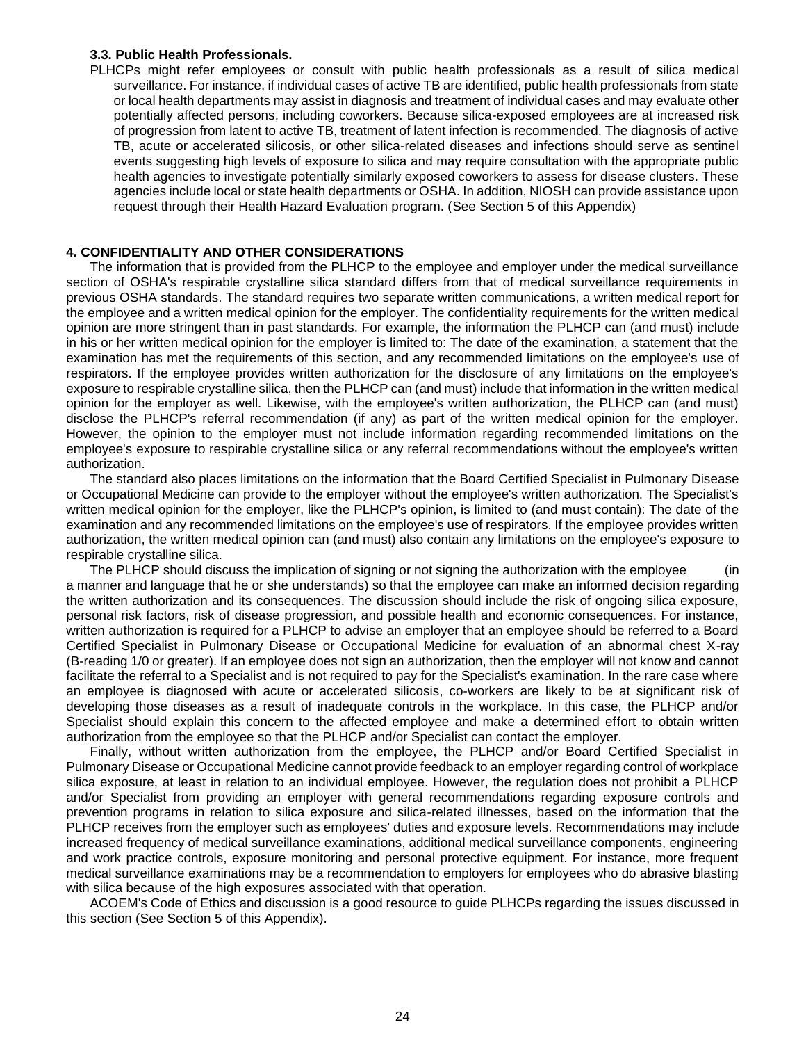#### **3.3. Public Health Professionals.**

PLHCPs might refer employees or consult with public health professionals as a result of silica medical surveillance. For instance, if individual cases of active TB are identified, public health professionals from state or local health departments may assist in diagnosis and treatment of individual cases and may evaluate other potentially affected persons, including coworkers. Because silica-exposed employees are at increased risk of progression from latent to active TB, treatment of latent infection is recommended. The diagnosis of active TB, acute or accelerated silicosis, or other silica-related diseases and infections should serve as sentinel events suggesting high levels of exposure to silica and may require consultation with the appropriate public health agencies to investigate potentially similarly exposed coworkers to assess for disease clusters. These agencies include local or state health departments or OSHA. In addition, NIOSH can provide assistance upon request through their Health Hazard Evaluation program. (See Section 5 of this Appendix)

#### **4. CONFIDENTIALITY AND OTHER CONSIDERATIONS**

The information that is provided from the PLHCP to the employee and employer under the medical surveillance section of OSHA's respirable crystalline silica standard differs from that of medical surveillance requirements in previous OSHA standards. The standard requires two separate written communications, a written medical report for the employee and a written medical opinion for the employer. The confidentiality requirements for the written medical opinion are more stringent than in past standards. For example, the information the PLHCP can (and must) include in his or her written medical opinion for the employer is limited to: The date of the examination, a statement that the examination has met the requirements of this section, and any recommended limitations on the employee's use of respirators. If the employee provides written authorization for the disclosure of any limitations on the employee's exposure to respirable crystalline silica, then the PLHCP can (and must) include that information in the written medical opinion for the employer as well. Likewise, with the employee's written authorization, the PLHCP can (and must) disclose the PLHCP's referral recommendation (if any) as part of the written medical opinion for the employer. However, the opinion to the employer must not include information regarding recommended limitations on the employee's exposure to respirable crystalline silica or any referral recommendations without the employee's written authorization.

The standard also places limitations on the information that the Board Certified Specialist in Pulmonary Disease or Occupational Medicine can provide to the employer without the employee's written authorization. The Specialist's written medical opinion for the employer, like the PLHCP's opinion, is limited to (and must contain): The date of the examination and any recommended limitations on the employee's use of respirators. If the employee provides written authorization, the written medical opinion can (and must) also contain any limitations on the employee's exposure to respirable crystalline silica.

The PLHCP should discuss the implication of signing or not signing the authorization with the employee (in a manner and language that he or she understands) so that the employee can make an informed decision regarding the written authorization and its consequences. The discussion should include the risk of ongoing silica exposure, personal risk factors, risk of disease progression, and possible health and economic consequences. For instance, written authorization is required for a PLHCP to advise an employer that an employee should be referred to a Board Certified Specialist in Pulmonary Disease or Occupational Medicine for evaluation of an abnormal chest X-ray (B-reading 1/0 or greater). If an employee does not sign an authorization, then the employer will not know and cannot facilitate the referral to a Specialist and is not required to pay for the Specialist's examination. In the rare case where an employee is diagnosed with acute or accelerated silicosis, co-workers are likely to be at significant risk of developing those diseases as a result of inadequate controls in the workplace. In this case, the PLHCP and/or Specialist should explain this concern to the affected employee and make a determined effort to obtain written authorization from the employee so that the PLHCP and/or Specialist can contact the employer.

Finally, without written authorization from the employee, the PLHCP and/or Board Certified Specialist in Pulmonary Disease or Occupational Medicine cannot provide feedback to an employer regarding control of workplace silica exposure, at least in relation to an individual employee. However, the regulation does not prohibit a PLHCP and/or Specialist from providing an employer with general recommendations regarding exposure controls and prevention programs in relation to silica exposure and silica-related illnesses, based on the information that the PLHCP receives from the employer such as employees' duties and exposure levels. Recommendations may include increased frequency of medical surveillance examinations, additional medical surveillance components, engineering and work practice controls, exposure monitoring and personal protective equipment. For instance, more frequent medical surveillance examinations may be a recommendation to employers for employees who do abrasive blasting with silica because of the high exposures associated with that operation.

ACOEM's Code of Ethics and discussion is a good resource to guide PLHCPs regarding the issues discussed in this section (See Section 5 of this Appendix).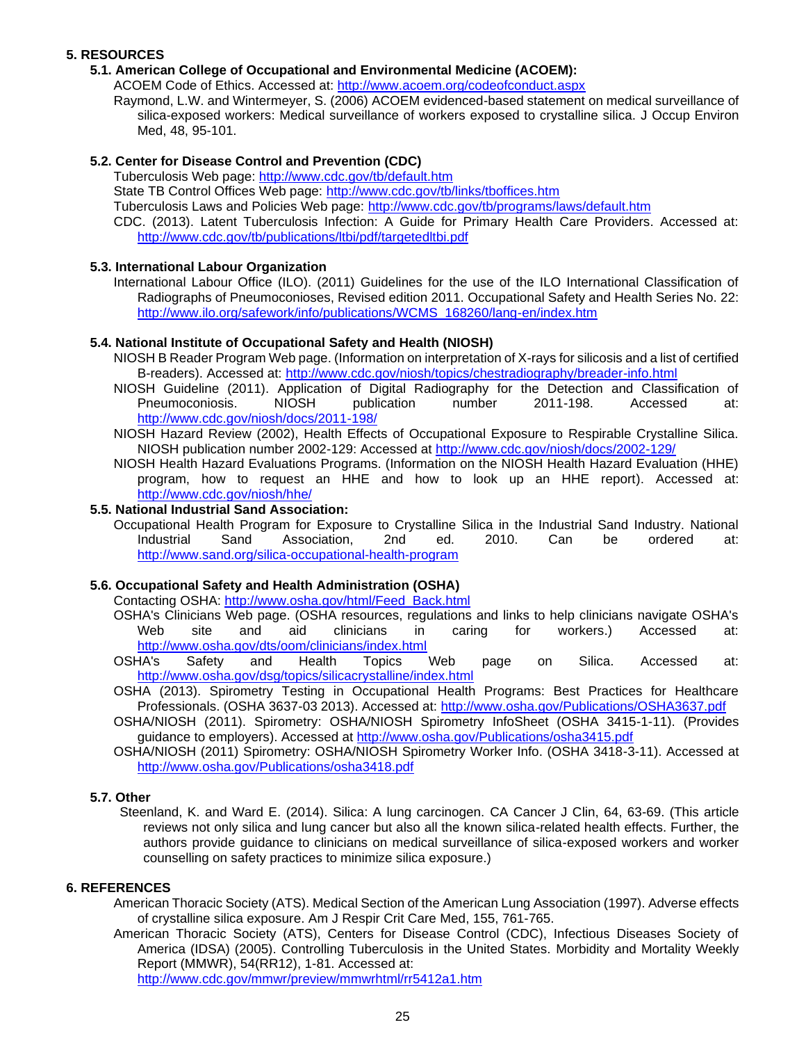#### **5. RESOURCES**

**5.1. American College of Occupational and Environmental Medicine (ACOEM):**

ACOEM Code of Ethics. Accessed at:<http://www.acoem.org/codeofconduct.aspx>

Raymond, L.W. and Wintermeyer, S. (2006) ACOEM evidenced-based statement on medical surveillance of silica-exposed workers: Medical surveillance of workers exposed to crystalline silica. J Occup Environ Med, 48, 95-101.

#### **5.2. Center for Disease Control and Prevention (CDC)**

Tuberculosis Web page:<http://www.cdc.gov/tb/default.htm>

State TB Control Offices Web page:<http://www.cdc.gov/tb/links/tboffices.htm>

Tuberculosis Laws and Policies Web page:<http://www.cdc.gov/tb/programs/laws/default.htm>

CDC. (2013). Latent Tuberculosis Infection: A Guide for Primary Health Care Providers. Accessed at: <http://www.cdc.gov/tb/publications/ltbi/pdf/targetedltbi.pdf>

#### **5.3. International Labour Organization**

International Labour Office (ILO). (2011) Guidelines for the use of the ILO International Classification of Radiographs of Pneumoconioses, Revised edition 2011. Occupational Safety and Health Series No. 22: [http://www.ilo.org/safework/info/publications/WCMS\\_168260/lang-en/index.htm](http://www.ilo.org/safework/info/publications/WCMS_168260/langen/index.htm)

#### **5.4. National Institute of Occupational Safety and Health (NIOSH)**

- NIOSH B Reader Program Web page. (Information on interpretation of X-rays for silicosis and a list of certified B-readers). Accessed at: [http://www.cdc.gov/niosh/topics/chestradiography/breader-info.html](http://www.cdc.gov/niosh/topics/chestradiography/breaderinfo.html)
- NIOSH Guideline (2011). Application of Digital Radiography for the Detection and Classification of Pneumoconiosis. NIOSH publication number 2011-198. Accessed at: [http://www.cdc.gov/niosh/docs/2011-198/](http://www.cdc.gov/niosh/docs/2011198/)
- NIOSH Hazard Review (2002), Health Effects of Occupational Exposure to Respirable Crystalline Silica. NIOSH publication number 2002-129: Accessed at [http://www.cdc.gov/niosh/docs/2002-129/](http://www.cdc.gov/niosh/docs/2002129/)
- NIOSH Health Hazard Evaluations Programs. (Information on the NIOSH Health Hazard Evaluation (HHE) program, how to request an HHE and how to look up an HHE report). Accessed at: <http://www.cdc.gov/niosh/hhe/>

#### **5.5. National Industrial Sand Association:**

Occupational Health Program for Exposure to Crystalline Silica in the Industrial Sand Industry. National Industrial Sand Association, 2nd ed. 2010. Can be ordered at: [http://www.sand.org/silica-occupational-health-program](http://www.sand.org/silicaoccupationalhealthprogram)

#### **5.6. Occupational Safety and Health Administration (OSHA)**

Contacting OSHA: [http://www.osha.gov/html/Feed\\_Back.html](http://www.osha.gov/html/Feed_Back.html)

OSHA's Clinicians Web page. (OSHA resources, regulations and links to help clinicians navigate OSHA's Web site and aid clinicians in caring for workers.) Accessed at: <http://www.osha.gov/dts/oom/clinicians/index.html>

OSHA's Safety and Health Topics Web page on Silica. Accessed at: <http://www.osha.gov/dsg/topics/silicacrystalline/index.html>

- OSHA (2013). Spirometry Testing in Occupational Health Programs: Best Practices for Healthcare Professionals. (OSHA 3637-03 2013). Accessed at:<http://www.osha.gov/Publications/OSHA3637.pdf>
- OSHA/NIOSH (2011). Spirometry: OSHA/NIOSH Spirometry InfoSheet (OSHA 3415-1-11). (Provides guidance to employers). Accessed at<http://www.osha.gov/Publications/osha3415.pdf>

OSHA/NIOSH (2011) Spirometry: OSHA/NIOSH Spirometry Worker Info. (OSHA 3418-3-11). Accessed at <http://www.osha.gov/Publications/osha3418.pdf>

#### **5.7. Other**

Steenland, K. and Ward E. (2014). Silica: A lung carcinogen. CA Cancer J Clin, 64, 63-69. (This article reviews not only silica and lung cancer but also all the known silica-related health effects. Further, the authors provide guidance to clinicians on medical surveillance of silica-exposed workers and worker counselling on safety practices to minimize silica exposure.)

#### **6. REFERENCES**

American Thoracic Society (ATS). Medical Section of the American Lung Association (1997). Adverse effects of crystalline silica exposure. Am J Respir Crit Care Med, 155, 761-765.

American Thoracic Society (ATS), Centers for Disease Control (CDC), Infectious Diseases Society of America (IDSA) (2005). Controlling Tuberculosis in the United States. Morbidity and Mortality Weekly Report (MMWR), 54(RR12), 1-81. Accessed at:

<http://www.cdc.gov/mmwr/preview/mmwrhtml/rr5412a1.htm>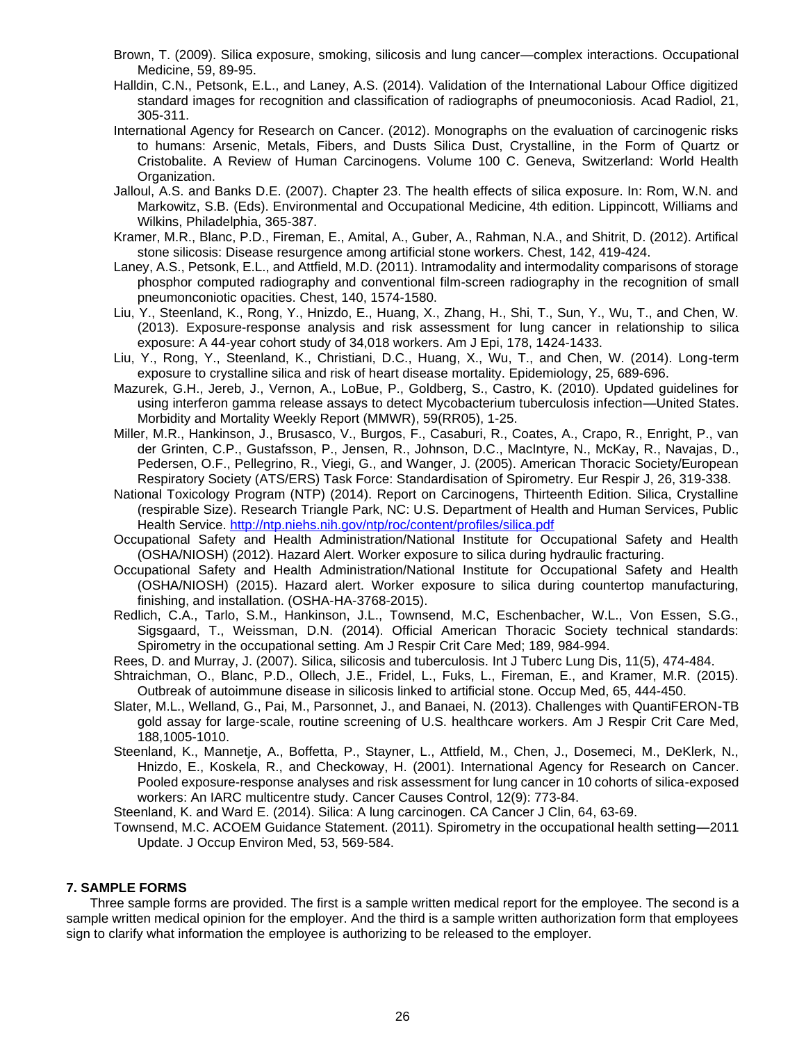- Brown, T. (2009). Silica exposure, smoking, silicosis and lung cancer—complex interactions. Occupational Medicine, 59, 89-95.
- Halldin, C.N., Petsonk, E.L., and Laney, A.S. (2014). Validation of the International Labour Office digitized standard images for recognition and classification of radiographs of pneumoconiosis. Acad Radiol, 21, 305-311.
- International Agency for Research on Cancer. (2012). Monographs on the evaluation of carcinogenic risks to humans: Arsenic, Metals, Fibers, and Dusts Silica Dust, Crystalline, in the Form of Quartz or Cristobalite. A Review of Human Carcinogens. Volume 100 C. Geneva, Switzerland: World Health Organization.
- Jalloul, A.S. and Banks D.E. (2007). Chapter 23. The health effects of silica exposure. In: Rom, W.N. and Markowitz, S.B. (Eds). Environmental and Occupational Medicine, 4th edition. Lippincott, Williams and Wilkins, Philadelphia, 365-387.
- Kramer, M.R., Blanc, P.D., Fireman, E., Amital, A., Guber, A., Rahman, N.A., and Shitrit, D. (2012). Artifical stone silicosis: Disease resurgence among artificial stone workers. Chest, 142, 419-424.
- Laney, A.S., Petsonk, E.L., and Attfield, M.D. (2011). Intramodality and intermodality comparisons of storage phosphor computed radiography and conventional film-screen radiography in the recognition of small pneumonconiotic opacities. Chest, 140, 1574-1580.
- Liu, Y., Steenland, K., Rong, Y., Hnizdo, E., Huang, X., Zhang, H., Shi, T., Sun, Y., Wu, T., and Chen, W. (2013). Exposure-response analysis and risk assessment for lung cancer in relationship to silica exposure: A 44-year cohort study of 34,018 workers. Am J Epi, 178, 1424-1433.
- Liu, Y., Rong, Y., Steenland, K., Christiani, D.C., Huang, X., Wu, T., and Chen, W. (2014). Long-term exposure to crystalline silica and risk of heart disease mortality. Epidemiology, 25, 689-696.
- Mazurek, G.H., Jereb, J., Vernon, A., LoBue, P., Goldberg, S., Castro, K. (2010). Updated guidelines for using interferon gamma release assays to detect Mycobacterium tuberculosis infection—United States. Morbidity and Mortality Weekly Report (MMWR), 59(RR05), 1-25.
- Miller, M.R., Hankinson, J., Brusasco, V., Burgos, F., Casaburi, R., Coates, A., Crapo, R., Enright, P., van der Grinten, C.P., Gustafsson, P., Jensen, R., Johnson, D.C., MacIntyre, N., McKay, R., Navajas, D., Pedersen, O.F., Pellegrino, R., Viegi, G., and Wanger, J. (2005). American Thoracic Society/European Respiratory Society (ATS/ERS) Task Force: Standardisation of Spirometry. Eur Respir J, 26, 319-338.
- National Toxicology Program (NTP) (2014). Report on Carcinogens, Thirteenth Edition. Silica, Crystalline (respirable Size). Research Triangle Park, NC: U.S. Department of Health and Human Services, Public Health Service.<http://ntp.niehs.nih.gov/ntp/roc/content/profiles/silica.pdf>
- Occupational Safety and Health Administration/National Institute for Occupational Safety and Health (OSHA/NIOSH) (2012). Hazard Alert. Worker exposure to silica during hydraulic fracturing.
- Occupational Safety and Health Administration/National Institute for Occupational Safety and Health (OSHA/NIOSH) (2015). Hazard alert. Worker exposure to silica during countertop manufacturing, finishing, and installation. (OSHA-HA-3768-2015).
- Redlich, C.A., Tarlo, S.M., Hankinson, J.L., Townsend, M.C, Eschenbacher, W.L., Von Essen, S.G., Sigsgaard, T., Weissman, D.N. (2014). Official American Thoracic Society technical standards: Spirometry in the occupational setting. Am J Respir Crit Care Med; 189, 984-994.
- Rees, D. and Murray, J. (2007). Silica, silicosis and tuberculosis. Int J Tuberc Lung Dis, 11(5), 474-484.
- Shtraichman, O., Blanc, P.D., Ollech, J.E., Fridel, L., Fuks, L., Fireman, E., and Kramer, M.R. (2015). Outbreak of autoimmune disease in silicosis linked to artificial stone. Occup Med, 65, 444-450.
- Slater, M.L., Welland, G., Pai, M., Parsonnet, J., and Banaei, N. (2013). Challenges with QuantiFERON-TB gold assay for large-scale, routine screening of U.S. healthcare workers. Am J Respir Crit Care Med, 188,1005-1010.
- Steenland, K., Mannetje, A., Boffetta, P., Stayner, L., Attfield, M., Chen, J., Dosemeci, M., DeKlerk, N., Hnizdo, E., Koskela, R., and Checkoway, H. (2001). International Agency for Research on Cancer. Pooled exposure-response analyses and risk assessment for lung cancer in 10 cohorts of silica-exposed workers: An IARC multicentre study. Cancer Causes Control, 12(9): 773-84.

Steenland, K. and Ward E. (2014). Silica: A lung carcinogen. CA Cancer J Clin, 64, 63-69.

Townsend, M.C. ACOEM Guidance Statement. (2011). Spirometry in the occupational health setting—2011 Update. J Occup Environ Med, 53, 569-584.

#### **7. SAMPLE FORMS**

Three sample forms are provided. The first is a sample written medical report for the employee. The second is a sample written medical opinion for the employer. And the third is a sample written authorization form that employees sign to clarify what information the employee is authorizing to be released to the employer.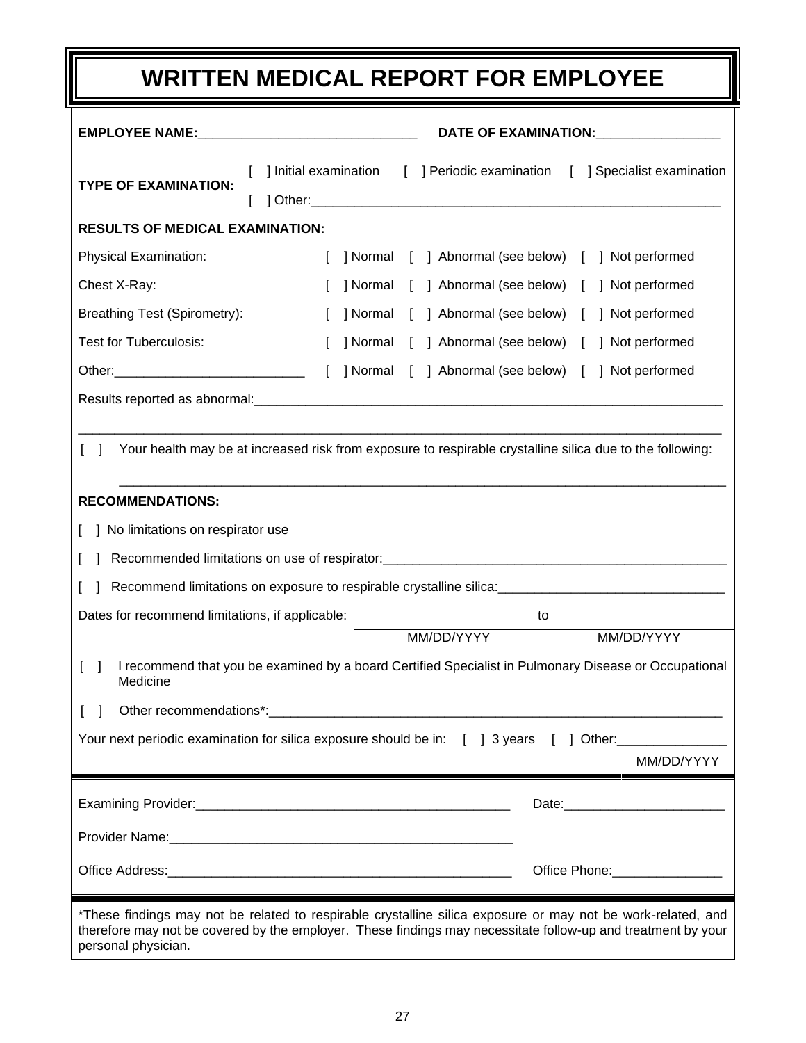# **WRITTEN MEDICAL REPORT FOR EMPLOYEE**

|                                                                                                           |              | DATE OF EXAMINATION: UNITS                                                                                                                                                                                                   |                    |  |  |  |  |  |  |
|-----------------------------------------------------------------------------------------------------------|--------------|------------------------------------------------------------------------------------------------------------------------------------------------------------------------------------------------------------------------------|--------------------|--|--|--|--|--|--|
| <b>TYPE OF EXAMINATION:</b>                                                                               |              | ] Initial examination [ ] Periodic examination [ ] Specialist examination<br>1 Other: 2008 - 2008 - 2008 - 2019 - 2019 - 2019 - 2019 - 2019 - 2019 - 2019 - 2019 - 2019 - 2019 - 2019 - 20                                   |                    |  |  |  |  |  |  |
| <b>RESULTS OF MEDICAL EXAMINATION:</b>                                                                    |              |                                                                                                                                                                                                                              |                    |  |  |  |  |  |  |
| <b>Physical Examination:</b>                                                                              |              | ] Normal [ ] Abnormal (see below) [ ] Not performed                                                                                                                                                                          |                    |  |  |  |  |  |  |
| Chest X-Ray:                                                                                              |              | ] Normal [ ] Abnormal (see below) [                                                                                                                                                                                          | ] Not performed    |  |  |  |  |  |  |
| Breathing Test (Spirometry):                                                                              |              | ] Normal [ ] Abnormal (see below) [                                                                                                                                                                                          | ] Not performed    |  |  |  |  |  |  |
| <b>Test for Tuberculosis:</b>                                                                             |              | ] Normal [ ] Abnormal (see below) [ ] Not performed                                                                                                                                                                          |                    |  |  |  |  |  |  |
|                                                                                                           | $\mathbf{I}$ | ] Normal [ ] Abnormal (see below) [                                                                                                                                                                                          | ] Not performed    |  |  |  |  |  |  |
|                                                                                                           |              |                                                                                                                                                                                                                              |                    |  |  |  |  |  |  |
| Your health may be at increased risk from exposure to respirable crystalline silica due to the following: |              |                                                                                                                                                                                                                              |                    |  |  |  |  |  |  |
| <b>RECOMMENDATIONS:</b>                                                                                   |              |                                                                                                                                                                                                                              |                    |  |  |  |  |  |  |
| ] No limitations on respirator use                                                                        |              |                                                                                                                                                                                                                              |                    |  |  |  |  |  |  |
|                                                                                                           |              |                                                                                                                                                                                                                              |                    |  |  |  |  |  |  |
|                                                                                                           |              | Recommend limitations on exposure to respirable crystalline silica: _______________________________                                                                                                                          |                    |  |  |  |  |  |  |
| Dates for recommend limitations, if applicable:                                                           |              | to                                                                                                                                                                                                                           |                    |  |  |  |  |  |  |
|                                                                                                           |              | MM/DD/YYYY                                                                                                                                                                                                                   | MM/DD/YYYY         |  |  |  |  |  |  |
| Medicine                                                                                                  |              | I recommend that you be examined by a board Certified Specialist in Pulmonary Disease or Occupational                                                                                                                        |                    |  |  |  |  |  |  |
| Other recommendations*:                                                                                   |              |                                                                                                                                                                                                                              |                    |  |  |  |  |  |  |
|                                                                                                           |              | Your next periodic examination for silica exposure should be in: [ ] 3 years [ ] Other:                                                                                                                                      |                    |  |  |  |  |  |  |
|                                                                                                           |              |                                                                                                                                                                                                                              | MM/DD/YYYY         |  |  |  |  |  |  |
|                                                                                                           |              |                                                                                                                                                                                                                              |                    |  |  |  |  |  |  |
|                                                                                                           |              |                                                                                                                                                                                                                              |                    |  |  |  |  |  |  |
|                                                                                                           |              |                                                                                                                                                                                                                              | Office Phone: 2000 |  |  |  |  |  |  |
| personal physician.                                                                                       |              | *These findings may not be related to respirable crystalline silica exposure or may not be work-related, and<br>therefore may not be covered by the employer. These findings may necessitate follow-up and treatment by your |                    |  |  |  |  |  |  |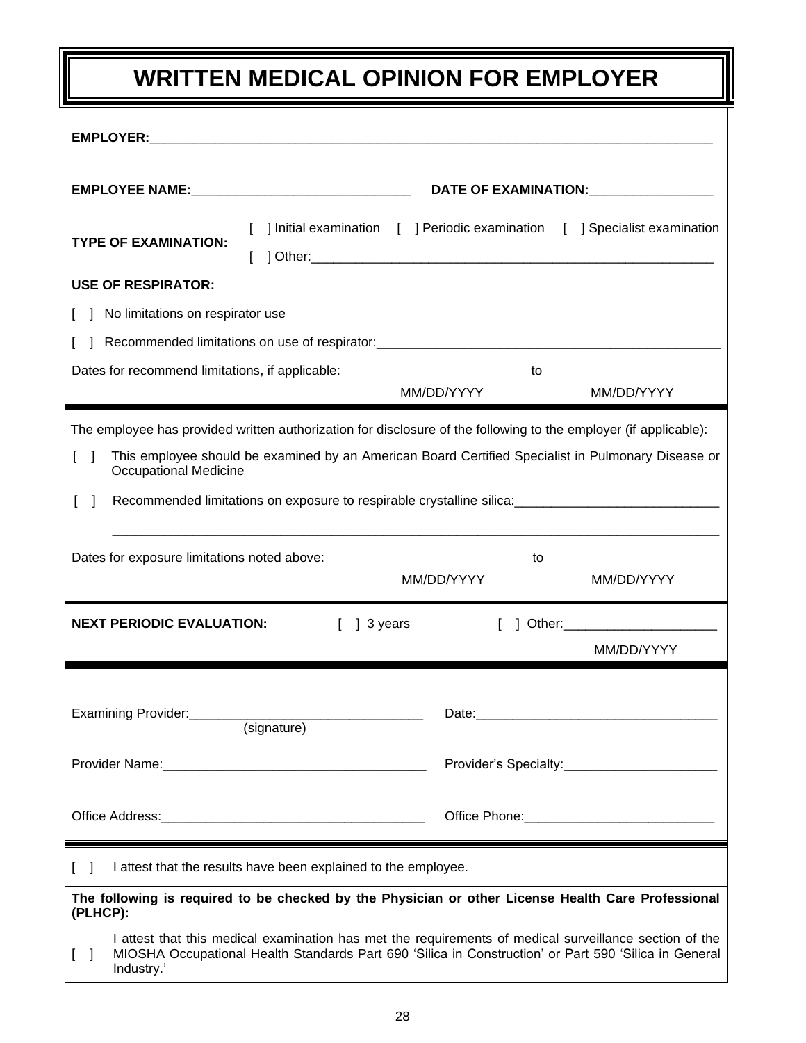| <b>WRITTEN MEDICAL OPINION FOR EMPLOYER</b>                                                                                                                                                                                                                                                                                                                   |                                                                           |
|---------------------------------------------------------------------------------------------------------------------------------------------------------------------------------------------------------------------------------------------------------------------------------------------------------------------------------------------------------------|---------------------------------------------------------------------------|
|                                                                                                                                                                                                                                                                                                                                                               |                                                                           |
|                                                                                                                                                                                                                                                                                                                                                               | DATE OF EXAMINATION: ________________                                     |
| <b>TYPE OF EXAMINATION:</b>                                                                                                                                                                                                                                                                                                                                   | ] Initial examination [ ] Periodic examination [ ] Specialist examination |
| <b>USE OF RESPIRATOR:</b>                                                                                                                                                                                                                                                                                                                                     |                                                                           |
| No limitations on respirator use                                                                                                                                                                                                                                                                                                                              |                                                                           |
| Recommended limitations on use of respirator: __________________________________                                                                                                                                                                                                                                                                              |                                                                           |
| Dates for recommend limitations, if applicable:                                                                                                                                                                                                                                                                                                               | to                                                                        |
|                                                                                                                                                                                                                                                                                                                                                               | MM/DD/YYYY<br>MM/DD/YYYY                                                  |
| The employee has provided written authorization for disclosure of the following to the employer (if applicable):<br>This employee should be examined by an American Board Certified Specialist in Pulmonary Disease or<br><b>Occupational Medicine</b><br>Recommended limitations on exposure to respirable crystalline silica: _____________________________ |                                                                           |
| Dates for exposure limitations noted above:                                                                                                                                                                                                                                                                                                                   | to<br>MM/DD/YYYY<br>MM/DD/YYYY                                            |
| <b>NEXT PERIODIC EVALUATION:</b><br>] 3 years                                                                                                                                                                                                                                                                                                                 | MM/DD/YYYY                                                                |
| Examining Provider: (signature)                                                                                                                                                                                                                                                                                                                               | Date: Date:                                                               |
|                                                                                                                                                                                                                                                                                                                                                               | Provider's Specialty: Management of the Specialty:                        |
|                                                                                                                                                                                                                                                                                                                                                               |                                                                           |
| I attest that the results have been explained to the employee.<br>$\begin{bmatrix} 1 \end{bmatrix}$                                                                                                                                                                                                                                                           |                                                                           |
| The following is required to be checked by the Physician or other License Health Care Professional<br>(PLHCP):                                                                                                                                                                                                                                                |                                                                           |
| I attest that this medical examination has met the requirements of medical surveillance section of the<br>MIOSHA Occupational Health Standards Part 690 'Silica in Construction' or Part 590 'Silica in General<br>$\Box$<br>Industry.'                                                                                                                       |                                                                           |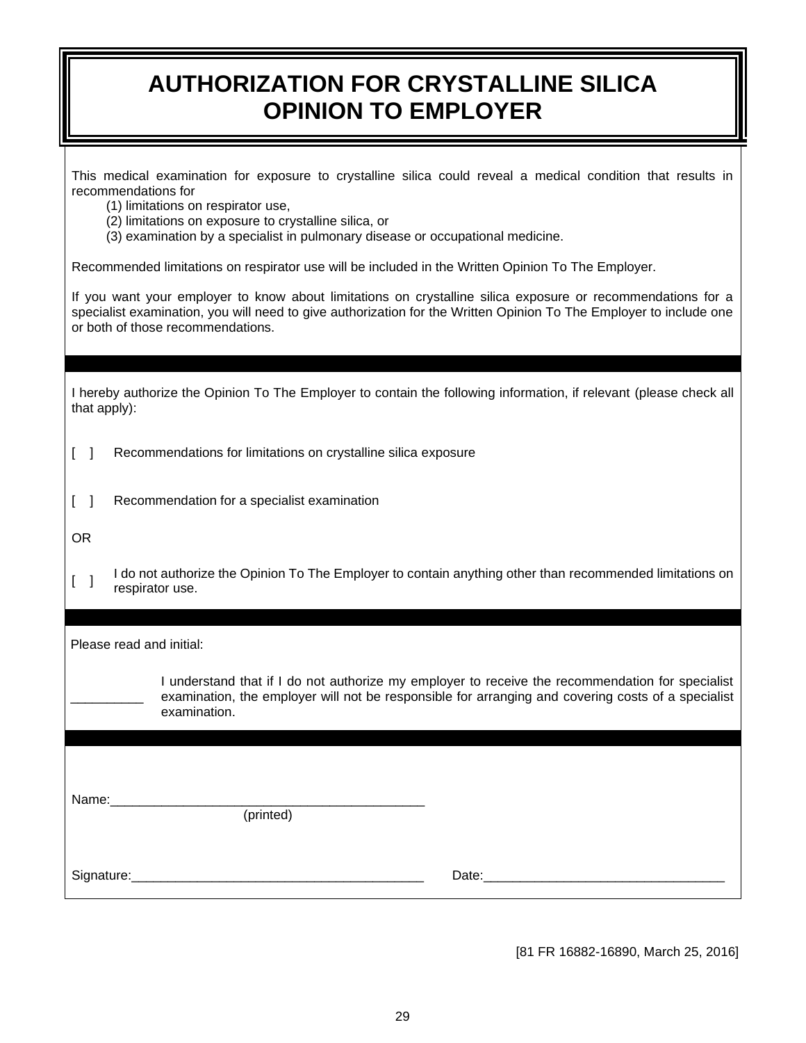## **AUTHORIZATION FOR CRYSTALLINE SILICA OPINION TO EMPLOYER**

|                     | This medical examination for exposure to crystalline silica could reveal a medical condition that results in |  |  |  |  |  |  |  |
|---------------------|--------------------------------------------------------------------------------------------------------------|--|--|--|--|--|--|--|
| recommendations for |                                                                                                              |  |  |  |  |  |  |  |

- (1) limitations on respirator use,
- (2) limitations on exposure to crystalline silica, or
- (3) examination by a specialist in pulmonary disease or occupational medicine.

Recommended limitations on respirator use will be included in the Written Opinion To The Employer.

If you want your employer to know about limitations on crystalline silica exposure or recommendations for a specialist examination, you will need to give authorization for the Written Opinion To The Employer to include one or both of those recommendations.

I hereby authorize the Opinion To The Employer to contain the following information, if relevant (please check all that apply):

- [ ] Recommendations for limitations on crystalline silica exposure
- [ ] Recommendation for a specialist examination

OR

I do not authorize the Opinion To The Employer to contain anything other than recommended limitations on<br>
I contrate use respirator use.

Please read and initial:

I understand that if I do not authorize my employer to receive the recommendation for specialist examination, the employer will not be responsible for arranging and covering costs of a specialist examination.

Name:

\_\_\_\_\_\_\_\_\_\_

(printed)

Signature:\_\_\_\_\_\_\_\_\_\_\_\_\_\_\_\_\_\_\_\_\_\_\_\_\_\_\_\_\_\_\_\_\_\_\_\_\_\_\_\_ Date:\_\_\_\_\_\_\_\_\_\_\_\_\_\_\_\_\_\_\_\_\_\_\_\_\_\_\_\_\_\_\_\_\_

[81 FR 16882-16890, March 25, 2016]